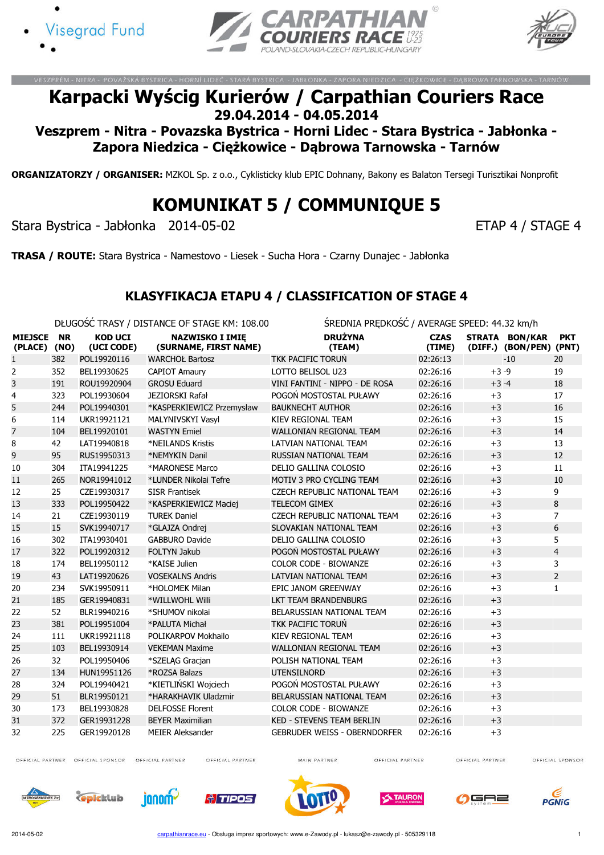





NÍ LIDEČ - STARÁ RYSTRICA

# Karpacki Wyścig Kurierów / Carpathian Couriers Race 29.04.2014 - 04.05.2014

Veszprem - Nitra - Povazska Bystrica - Horni Lidec - Stara Bystrica - Jabłonka - Zapora Niedzica - Ciężkowice - Dąbrowa Tarnowska - Tarnów

ORGANIZATORZY / ORGANISER: MZKOL Sp. z o.o., Cyklisticky klub EPIC Dohnany, Bakony es Balaton Tersegi Turisztikai Nonprofit

# KOMUNIKAT 5 / COMMUNIQUE 5

Stara Bystrica - Jabłonka 2014-05-02 ETAP 4 / STAGE 4

TRASA / ROUTE: Stara Bystrica - Namestovo - Liesek - Sucha Hora - Czarny Dunajec - Jabłonka

#### KLASYFIKACJA ETAPU 4 / CLASSIFICATION OF STAGE 4

 $\sim$ UGOŚĆ TRASY / DISTANCE OF STAGE KM: 108.00 ŚREDNIA PRĘDKOŚĆ / AVERAGE SPEED: 44.32 km

|                           |                   |                              | DEUGOSC TRASY / DISTANCE OF STAGE KM: 108.00    | SREDNIA PREDKOSC / AVERAGE SPEED: 44.32 KM/H |                       |          |                                           |                |
|---------------------------|-------------------|------------------------------|-------------------------------------------------|----------------------------------------------|-----------------------|----------|-------------------------------------------|----------------|
| <b>MIEJSCE</b><br>(PLACE) | <b>NR</b><br>(NO) | <b>KOD UCI</b><br>(UCI CODE) | <b>NAZWISKO I IMIE</b><br>(SURNAME, FIRST NAME) | <b>DRUŻYNA</b><br>(TEAM)                     | <b>CZAS</b><br>(TIME) |          | STRATA BON/KAR<br>(DIFF.) (BON/PEN) (PNT) | <b>PKT</b>     |
| 1                         | 382               | POL19920116                  | <b>WARCHOŁ Bartosz</b>                          | <b>TKK PACIFIC TORUN</b>                     | 02:26:13              |          | $-10$                                     | 20             |
| 2                         | 352               | BEL19930625                  | <b>CAPIOT Amaury</b>                            | LOTTO BELISOL U23                            | 02:26:16              | $+3 - 9$ |                                           | 19             |
| 3                         | 191               | ROU19920904                  | <b>GROSU Eduard</b>                             | VINI FANTINI - NIPPO - DE ROSA               | 02:26:16              | $+3 -4$  |                                           | 18             |
| 4                         | 323               | POL19930604                  | JEZIORSKI Rafał                                 | POGOŃ MOSTOSTAL PUŁAWY                       | 02:26:16              | $+3$     |                                           | 17             |
| 5                         | 244               | POL19940301                  | *KASPERKIEWICZ Przemysław                       | <b>BAUKNECHT AUTHOR</b>                      | 02:26:16              | $+3$     |                                           | 16             |
| 6                         | 114               | UKR19921121                  | MALYNIVSKYI Vasyl                               | KIEV REGIONAL TEAM                           | 02:26:16              | $+3$     |                                           | 15             |
| 7                         | 104               | BEL19920101                  | <b>WASTYN Emiel</b>                             | <b>WALLONIAN REGIONAL TEAM</b>               | 02:26:16              | $+3$     |                                           | 14             |
| 8                         | 42                | LAT19940818                  | *NEILANDS Kristis                               | LATVIAN NATIONAL TEAM                        | 02:26:16              | $+3$     |                                           | 13             |
| 9                         | 95                | RUS19950313                  | *NEMYKIN Danil                                  | RUSSIAN NATIONAL TEAM                        | 02:26:16              | $+3$     |                                           | 12             |
| 10                        | 304               | ITA19941225                  | *MARONESE Marco                                 | DELIO GALLINA COLOSIO                        | 02:26:16              | $+3$     |                                           | 11             |
| 11                        | 265               | NOR19941012                  | *LUNDER Nikolai Tefre                           | MOTIV 3 PRO CYCLING TEAM                     | 02:26:16              | $+3$     |                                           | 10             |
| 12                        | 25                | CZE19930317                  | <b>SISR Frantisek</b>                           | <b>CZECH REPUBLIC NATIONAL TEAM</b>          | 02:26:16              | $+3$     |                                           | 9              |
| 13                        | 333               | POL19950422                  | *KASPERKIEWICZ Maciej                           | <b>TELECOM GIMEX</b>                         | 02:26:16              | $+3$     |                                           | 8              |
| 14                        | 21                | CZE19930119                  | <b>TUREK Daniel</b>                             | CZECH REPUBLIC NATIONAL TEAM                 | 02:26:16              | $+3$     |                                           | $\overline{7}$ |
| 15                        | 15                | SVK19940717                  | *GLAJZA Ondrej                                  | SLOVAKIAN NATIONAL TEAM                      | 02:26:16              | $+3$     |                                           | 6              |
| 16                        | 302               | ITA19930401                  | <b>GABBURO Davide</b>                           | DELIO GALLINA COLOSIO                        | 02:26:16              | $+3$     |                                           | 5              |
| 17                        | 322               | POL19920312                  | FOLTYN Jakub                                    | POGOŃ MOSTOSTAL PUŁAWY                       | 02:26:16              | $+3$     |                                           | $\overline{4}$ |
| 18                        | 174               | BEL19950112                  | *KAISE Julien                                   | <b>COLOR CODE - BIOWANZE</b>                 | 02:26:16              | $+3$     |                                           | 3              |
| 19                        | 43                | LAT19920626                  | <b>VOSEKALNS Andris</b>                         | LATVIAN NATIONAL TEAM                        | 02:26:16              | $+3$     |                                           | $\overline{2}$ |
| 20                        | 234               | SVK19950911                  | *HOLOMEK Milan                                  | EPIC JANOM GREENWAY                          | 02:26:16              | $+3$     |                                           | 1              |
| 21                        | 185               | GER19940831                  | *WILLWOHL Willi                                 | <b>LKT TEAM BRANDENBURG</b>                  | 02:26:16              | $+3$     |                                           |                |
| 22                        | 52                | BLR19940216                  | *SHUMOV nikolai                                 | BELARUSSIAN NATIONAL TEAM                    | 02:26:16              | $+3$     |                                           |                |
| 23                        | 381               | POL19951004                  | *PALUTA Michał                                  | TKK PACIFIC TORUN                            | 02:26:16              | $+3$     |                                           |                |
| 24                        | 111               | UKR19921118                  | POLIKARPOV Mokhailo                             | <b>KIEV REGIONAL TEAM</b>                    | 02:26:16              | $+3$     |                                           |                |
| 25                        | 103               | BEL19930914                  | <b>VEKEMAN Maxime</b>                           | <b>WALLONIAN REGIONAL TEAM</b>               | 02:26:16              | $+3$     |                                           |                |
| 26                        | 32                | POL19950406                  | *SZELĄG Gracjan                                 | POLISH NATIONAL TEAM                         | 02:26:16              | $+3$     |                                           |                |
| 27                        | 134               | HUN19951126                  | *ROZSA Balazs                                   | <b>UTENSILNORD</b>                           | 02:26:16              | $+3$     |                                           |                |
| 28                        | 324               | POL19940421                  | *KIETLIŃSKI Wojciech                            | POGOŃ MOSTOSTAL PUŁAWY                       | 02:26:16              | $+3$     |                                           |                |
| 29                        | 51                | BLR19950121                  | *HARAKHAVIK Uladzmir                            | BELARUSSIAN NATIONAL TEAM                    | 02:26:16              | $+3$     |                                           |                |
| 30                        | 173               | BEL19930828                  | <b>DELFOSSE Florent</b>                         | COLOR CODE - BIOWANZE                        | 02:26:16              | $+3$     |                                           |                |
| 31                        | 372               | GER19931228                  | <b>BEYER Maximilian</b>                         | <b>KED - STEVENS TEAM BERLIN</b>             | 02:26:16              | $+3$     |                                           |                |
| 32                        | 225               | GER19920128                  | <b>MEIER Aleksander</b>                         | <b>GEBRUDER WEISS - OBERNDORFER</b>          | 02:26:16              | $+3$     |                                           |                |

OFFICIAL PARTNER OFFICIAL SPONSOR

OFFICIAL PARTNER

OFFICIAL PARTNER

MAIN PARTNER

OFFICIAL PARTNER

OFFICIAL PARTNER















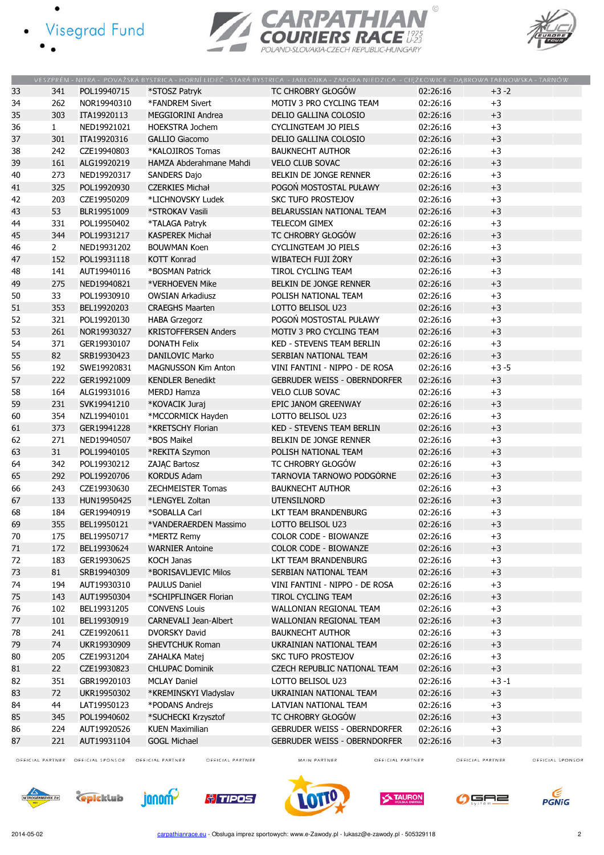- · Visegrad Fund
	-





|    |              |             |                             | VESZPRÉM - NITRA - POVAŽSKÁ BYSTRICA - HORNÍ LIDEČ - STARÁ BYSTRICA - JABŁONKA - ZAPORA NIEDZICA - CIĘŻKOWICE - DĄBROWA TARNOWSKA - TARNÓW |          |          |
|----|--------------|-------------|-----------------------------|--------------------------------------------------------------------------------------------------------------------------------------------|----------|----------|
| 33 | 341          | POL19940715 | *STOSZ Patryk               | TC CHROBRY GŁOGÓW                                                                                                                          | 02:26:16 | $+3-2$   |
| 34 | 262          | NOR19940310 | *FANDREM Sivert             | MOTIV 3 PRO CYCLING TEAM                                                                                                                   | 02:26:16 | $+3$     |
| 35 | 303          | ITA19920113 | <b>MEGGIORINI Andrea</b>    | DELIO GALLINA COLOSIO                                                                                                                      | 02:26:16 | $+3$     |
| 36 | $\mathbf{1}$ | NED19921021 | <b>HOEKSTRA Jochem</b>      | <b>CYCLINGTEAM JO PIELS</b>                                                                                                                | 02:26:16 | $+3$     |
| 37 | 301          | ITA19920316 | <b>GALLIO Giacomo</b>       | DELIO GALLINA COLOSIO                                                                                                                      | 02:26:16 | $+3$     |
| 38 | 242          | CZE19940803 | *KALOJIROS Tomas            | <b>BAUKNECHT AUTHOR</b>                                                                                                                    | 02:26:16 | $+3$     |
| 39 | 161          | ALG19920219 | HAMZA Abderahmane Mahdi     | <b>VELO CLUB SOVAC</b>                                                                                                                     | 02:26:16 | $+3$     |
| 40 | 273          | NED19920317 | <b>SANDERS Dajo</b>         | BELKIN DE JONGE RENNER                                                                                                                     | 02:26:16 | $+3$     |
| 41 | 325          | POL19920930 | <b>CZERKIES Michał</b>      | POGOŃ MOSTOSTAL PUŁAWY                                                                                                                     | 02:26:16 | $+3$     |
| 42 | 203          | CZE19950209 | *LICHNOVSKY Ludek           | <b>SKC TUFO PROSTEJOV</b>                                                                                                                  | 02:26:16 | $+3$     |
| 43 | 53           | BLR19951009 | *STROKAV Vasili             | BELARUSSIAN NATIONAL TEAM                                                                                                                  | 02:26:16 | $+3$     |
| 44 | 331          | POL19950402 | *TALAGA Patryk              | TELECOM GIMEX                                                                                                                              | 02:26:16 | $+3$     |
| 45 | 344          | POL19931217 | <b>KASPEREK Michał</b>      | TC CHROBRY GŁOGÓW                                                                                                                          | 02:26:16 | $+3$     |
| 46 | $2^{\circ}$  | NED19931202 | <b>BOUWMAN Koen</b>         | <b>CYCLINGTEAM JO PIELS</b>                                                                                                                | 02:26:16 | $+3$     |
| 47 | 152          | POL19931118 | <b>KOTT Konrad</b>          | WIBATECH FUJI ŻORY                                                                                                                         | 02:26:16 | $+3$     |
| 48 | 141          | AUT19940116 | *BOSMAN Patrick             | <b>TIROL CYCLING TEAM</b>                                                                                                                  | 02:26:16 | $+3$     |
| 49 | 275          | NED19940821 | *VERHOEVEN Mike             | BELKIN DE JONGE RENNER                                                                                                                     | 02:26:16 | $+3$     |
| 50 | 33           | POL19930910 | <b>OWSIAN Arkadiusz</b>     | POLISH NATIONAL TEAM                                                                                                                       | 02:26:16 | $+3$     |
| 51 | 353          | BEL19920203 | <b>CRAEGHS Maarten</b>      | LOTTO BELISOL U23                                                                                                                          | 02:26:16 | $+3$     |
| 52 | 321          | POL19920130 | <b>HABA Grzegorz</b>        | POGOŃ MOSTOSTAL PUŁAWY                                                                                                                     | 02:26:16 | $+3$     |
| 53 | 261          | NOR19930327 | <b>KRISTOFFERSEN Anders</b> | MOTIV 3 PRO CYCLING TEAM                                                                                                                   | 02:26:16 | $+3$     |
| 54 | 371          | GER19930107 | <b>DONATH Felix</b>         | <b>KED - STEVENS TEAM BERLIN</b>                                                                                                           | 02:26:16 | $+3$     |
| 55 | 82           | SRB19930423 | <b>DANILOVIC Marko</b>      | SERBIAN NATIONAL TEAM                                                                                                                      | 02:26:16 | $+3$     |
| 56 | 192          | SWE19920831 | <b>MAGNUSSON Kim Anton</b>  | VINI FANTINI - NIPPO - DE ROSA                                                                                                             | 02:26:16 | $+3 - 5$ |
| 57 | 222          | GER19921009 | <b>KENDLER Benedikt</b>     | <b>GEBRUDER WEISS - OBERNDORFER</b>                                                                                                        | 02:26:16 | $+3$     |
| 58 | 164          | ALG19931016 | <b>MERDJ Hamza</b>          | <b>VELO CLUB SOVAC</b>                                                                                                                     | 02:26:16 | $+3$     |
| 59 | 231          | SVK19941210 | *KOVACIK Juraj              | EPIC JANOM GREENWAY                                                                                                                        | 02:26:16 | $+3$     |
| 60 | 354          | NZL19940101 | *MCCORMICK Hayden           | LOTTO BELISOL U23                                                                                                                          | 02:26:16 | $+3$     |
| 61 | 373          | GER19941228 | *KRETSCHY Florian           | <b>KED - STEVENS TEAM BERLIN</b>                                                                                                           | 02:26:16 | $+3$     |
| 62 | 271          | NED19940507 | *BOS Maikel                 | BELKIN DE JONGE RENNER                                                                                                                     | 02:26:16 | $+3$     |
| 63 | 31           | POL19940105 | *REKITA Szymon              | POLISH NATIONAL TEAM                                                                                                                       | 02:26:16 | $+3$     |
| 64 | 342          | POL19930212 | ZAJĄC Bartosz               | TC CHROBRY GŁOGÓW                                                                                                                          | 02:26:16 | $+3$     |
| 65 | 292          | POL19920706 | <b>KORDUS Adam</b>          | TARNOVIA TARNOWO PODGÓRNE                                                                                                                  | 02:26:16 | $+3$     |
| 66 | 243          | CZE19930630 | ZECHMEISTER Tomas           | <b>BAUKNECHT AUTHOR</b>                                                                                                                    | 02:26:16 | $+3$     |
| 67 | 133          | HUN19950425 | *LENGYEL Zoltan             | <b>UTENSILNORD</b>                                                                                                                         | 02:26:16 | $+3$     |
| 68 | 184          | GER19940919 | *SOBALLA Carl               | LKT TEAM BRANDENBURG                                                                                                                       | 02:26:16 | $+3$     |
| 69 | 355          | BEL19950121 | *VANDERAERDEN Massimo       | LOTTO BELISOL U23                                                                                                                          | 02:26:16 | $+3$     |
| 70 | 175          | BEL19950717 | *MERTZ Remy                 | COLOR CODE - BIOWANZE                                                                                                                      | 02:26:16 | $+3$     |
| 71 | 172          | BEL19930624 | <b>WARNIER Antoine</b>      | COLOR CODE - BIOWANZE                                                                                                                      | 02:26:16 | $+3$     |
| 72 | 183          | GER19930625 | <b>KOCH Janas</b>           | LKT TEAM BRANDENBURG                                                                                                                       | 02:26:16 | $+3$     |
| 73 | 81           | SRB19940309 | *BORISAVLJEVIC Milos        | SERBIAN NATIONAL TEAM                                                                                                                      | 02:26:16 | $+3$     |
| 74 | 194          | AUT19930310 | <b>PAULUS Daniel</b>        | VINI FANTINI - NIPPO - DE ROSA                                                                                                             | 02:26:16 | $+3$     |
| 75 | 143          | AUT19950304 | *SCHIPFLINGER Florian       | <b>TIROL CYCLING TEAM</b>                                                                                                                  | 02:26:16 | $+3$     |
| 76 | 102          | BEL19931205 | <b>CONVENS Louis</b>        | WALLONIAN REGIONAL TEAM                                                                                                                    | 02:26:16 | $+3$     |
| 77 | 101          | BEL19930919 | CARNEVALI Jean-Albert       | WALLONIAN REGIONAL TEAM                                                                                                                    | 02:26:16 | $+3$     |
| 78 | 241          | CZE19920611 | DVORSKY David               | <b>BAUKNECHT AUTHOR</b>                                                                                                                    | 02:26:16 | $+3$     |
| 79 | 74           | UKR19930909 | <b>SHEVTCHUK Roman</b>      | UKRAINIAN NATIONAL TEAM                                                                                                                    | 02:26:16 | $+3$     |
| 80 | 205          | CZE19931204 | ZAHALKA Matej               | <b>SKC TUFO PROSTEJOV</b>                                                                                                                  | 02:26:16 | $+3$     |
| 81 | 22           | CZE19930823 | <b>CHLUPAC Dominik</b>      | CZECH REPUBLIC NATIONAL TEAM                                                                                                               | 02:26:16 | $+3$     |
| 82 | 351          | GBR19920103 | <b>MCLAY Daniel</b>         | LOTTO BELISOL U23                                                                                                                          | 02:26:16 | $+3 - 1$ |
| 83 | 72           | UKR19950302 | *KREMINSKYI Vladyslav       | UKRAINIAN NATIONAL TEAM                                                                                                                    | 02:26:16 | $+3$     |
| 84 | 44           | LAT19950123 | *PODANS Andrejs             | LATVIAN NATIONAL TEAM                                                                                                                      | 02:26:16 | $+3$     |
| 85 | 345          | POL19940602 | *SUCHECKI Krzysztof         | TC CHROBRY GŁOGÓW                                                                                                                          | 02:26:16 | $+3$     |
| 86 | 224          | AUT19920526 | <b>KUEN Maximilian</b>      | GEBRUDER WEISS - OBERNDORFER                                                                                                               | 02:26:16 | $+3$     |
| 87 | 221          | AUT19931104 | <b>GOGL Michael</b>         | GEBRUDER WEISS - OBERNDORFER                                                                                                               | 02:26:16 | $+3$     |
|    |              |             |                             |                                                                                                                                            |          |          |

OFFICIAL PARTNER OFFICIAL SPONSOR OFFICIAL PARTNER

OFFICIAL PARTNER

MAIN PARTNER

OFFICIAL PARTNER

OFFICIAL PARTNER













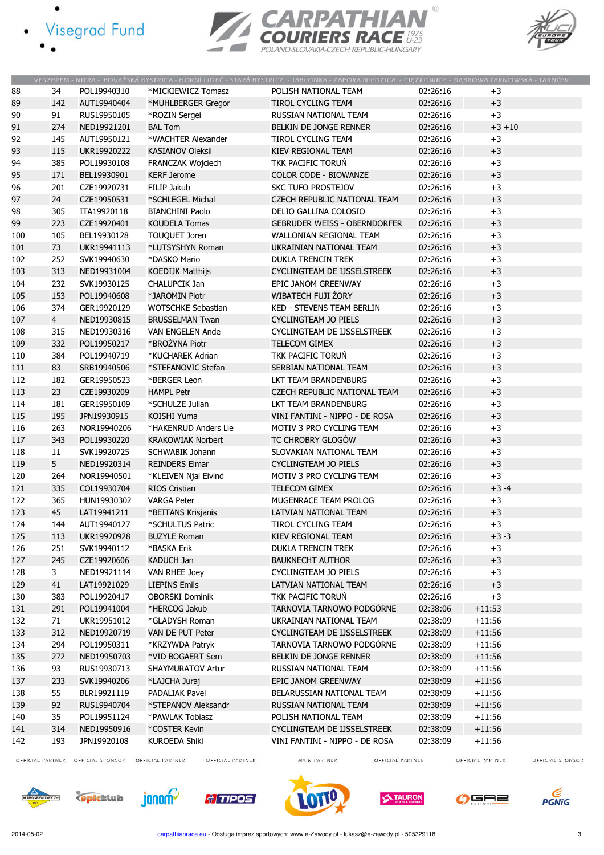- · Visegrad Fund
	-





|        |                |             |                           | VESZPRÉM - NITRA - POVAŽSKÁ BYSTRICA - HORNÍ LIDEČ - STARÁ BYSTRICA - JABŁONKA - ZAPORA NIEDZICA - CIĘŻKOWICE - DĄBROWA TARNOWSKA - TARNÓW |          |           |
|--------|----------------|-------------|---------------------------|--------------------------------------------------------------------------------------------------------------------------------------------|----------|-----------|
| 88     | 34             | POL19940310 | *MICKIEWICZ Tomasz        | POLISH NATIONAL TEAM                                                                                                                       | 02:26:16 | $+3$      |
| 89     | 142            | AUT19940404 | *MUHLBERGER Gregor        | <b>TIROL CYCLING TEAM</b>                                                                                                                  | 02:26:16 | $+3$      |
| $90\,$ | 91             | RUS19950105 | *ROZIN Sergei             | RUSSIAN NATIONAL TEAM                                                                                                                      | 02:26:16 | $+3$      |
| 91     | 274            | NED19921201 | <b>BAL Tom</b>            | BELKIN DE JONGE RENNER                                                                                                                     | 02:26:16 | $+3 + 10$ |
| 92     | 145            | AUT19950121 | *WACHTER Alexander        | TIROL CYCLING TEAM                                                                                                                         | 02:26:16 | $+3$      |
| 93     | 115            | UKR19920222 | <b>KASIANOV Oleksii</b>   | KIEV REGIONAL TEAM                                                                                                                         | 02:26:16 | $+3$      |
| 94     | 385            | POL19930108 | FRANCZAK Wojciech         | TKK PACIFIC TORUŃ                                                                                                                          | 02:26:16 | $+3$      |
| 95     | 171            | BEL19930901 | <b>KERF Jerome</b>        | <b>COLOR CODE - BIOWANZE</b>                                                                                                               | 02:26:16 | $+3$      |
| 96     | 201            | CZE19920731 | FILIP Jakub               | <b>SKC TUFO PROSTEJOV</b>                                                                                                                  | 02:26:16 | $+3$      |
| 97     | 24             | CZE19950531 | *SCHLEGEL Michal          | <b>CZECH REPUBLIC NATIONAL TEAM</b>                                                                                                        | 02:26:16 | $+3$      |
| 98     | 305            | ITA19920118 | <b>BIANCHINI Paolo</b>    | DELIO GALLINA COLOSIO                                                                                                                      | 02:26:16 | $+3$      |
| 99     | 223            | CZE19920401 | <b>KOUDELA Tomas</b>      | <b>GEBRUDER WEISS - OBERNDORFER</b>                                                                                                        | 02:26:16 | $+3$      |
| 100    | 105            | BEL19930128 | TOUQUET Joren             | WALLONIAN REGIONAL TEAM                                                                                                                    | 02:26:16 | $+3$      |
| 101    | 73             | UKR19941113 | *LUTSYSHYN Roman          | UKRAINIAN NATIONAL TEAM                                                                                                                    | 02:26:16 | $+3$      |
| 102    | 252            | SVK19940630 | *DASKO Mario              | <b>DUKLA TRENCIN TREK</b>                                                                                                                  | 02:26:16 | $+3$      |
| 103    | 313            | NED19931004 | <b>KOEDIJK Matthijs</b>   | CYCLINGTEAM DE IJSSELSTREEK                                                                                                                | 02:26:16 | $+3$      |
| 104    | 232            | SVK19930125 | CHALUPCIK Jan             | EPIC JANOM GREENWAY                                                                                                                        | 02:26:16 | $+3$      |
| 105    | 153            | POL19940608 | *JAROMIN Piotr            | WIBATECH FUJI ŻORY                                                                                                                         | 02:26:16 | $+3$      |
| 106    | 374            | GER19920129 | <b>WOTSCHKE Sebastian</b> | <b>KED - STEVENS TEAM BERLIN</b>                                                                                                           | 02:26:16 | $+3$      |
| 107    | $\overline{4}$ | NED19930815 | <b>BRUSSELMAN Twan</b>    | CYCLINGTEAM JO PIELS                                                                                                                       | 02:26:16 | $+3$      |
| 108    | 315            | NED19930316 | <b>VAN ENGELEN Ande</b>   | CYCLINGTEAM DE IJSSELSTREEK                                                                                                                | 02:26:16 | $+3$      |
| 109    | 332            | POL19950217 | *BROŻYNA Piotr            | TELECOM GIMEX                                                                                                                              | 02:26:16 | $+3$      |
| 110    | 384            | POL19940719 | *KUCHAREK Adrian          | TKK PACIFIC TORUŃ                                                                                                                          | 02:26:16 | $+3$      |
| 111    | 83             | SRB19940506 | *STEFANOVIC Stefan        | SERBIAN NATIONAL TEAM                                                                                                                      | 02:26:16 | $+3$      |
| 112    | 182            | GER19950523 | *BERGER Leon              | LKT TEAM BRANDENBURG                                                                                                                       | 02:26:16 | $+3$      |
| 113    | 23             | CZE19930209 | <b>HAMPL Petr</b>         | <b>CZECH REPUBLIC NATIONAL TEAM</b>                                                                                                        | 02:26:16 | $+3$      |
| 114    | 181            | GER19950109 | *SCHULZE Julian           | LKT TEAM BRANDENBURG                                                                                                                       | 02:26:16 | $+3$      |
| 115    | 195            | JPN19930915 | KOISHI Yuma               | VINI FANTINI - NIPPO - DE ROSA                                                                                                             | 02:26:16 | $+3$      |
| 116    | 263            | NOR19940206 | *HAKENRUD Anders Lie      | MOTIV 3 PRO CYCLING TEAM                                                                                                                   | 02:26:16 | $+3$      |
| 117    | 343            | POL19930220 |                           | TC CHROBRY GŁOGÓW                                                                                                                          | 02:26:16 | $+3$      |
|        | 11             |             | <b>KRAKOWIAK Norbert</b>  |                                                                                                                                            | 02:26:16 | $+3$      |
| 118    |                | SVK19920725 | SCHWABIK Johann           | SLOVAKIAN NATIONAL TEAM                                                                                                                    |          |           |
| 119    | 5              | NED19920314 | <b>REINDERS Elmar</b>     | CYCLINGTEAM JO PIELS                                                                                                                       | 02:26:16 | $+3$      |
| 120    | 264            | NOR19940501 | *KLEIVEN Njal Eivind      | MOTIV 3 PRO CYCLING TEAM                                                                                                                   | 02:26:16 | $+3$      |
| 121    | 335            | COL19930704 | RIOS Cristian             | <b>TELECOM GIMEX</b>                                                                                                                       | 02:26:16 | $+3 -4$   |
| 122    | 365            | HUN19930302 | <b>VARGA Peter</b>        | MUGENRACE TEAM PROLOG                                                                                                                      | 02:26:16 | $+3$      |
| 123    | 45             | LAT19941211 | *BEITANS Krisjanis        | LATVIAN NATIONAL TEAM                                                                                                                      | 02:26:16 | $+3$      |
| 124    | 144            | AUT19940127 | *SCHULTUS Patric          | TIROL CYCLING TEAM                                                                                                                         | 02:26:16 | $+3$      |
| 125    | 113            | UKR19920928 | <b>BUZYLE Roman</b>       | KIEV REGIONAL TEAM                                                                                                                         | 02:26:16 | $+3-3$    |
| 126    | 251            | SVK19940112 | *BASKA Erik               | DUKLA TRENCIN TREK                                                                                                                         | 02:26:16 | $+3$      |
| 127    | 245            | CZE19920606 | KADUCH Jan                | <b>BAUKNECHT AUTHOR</b>                                                                                                                    | 02:26:16 | $+3$      |
| 128    | 3              | NED19921114 | VAN RHEE Joey             | CYCLINGTEAM JO PIELS                                                                                                                       | 02:26:16 | $+3$      |
| 129    | 41             | LAT19921029 | <b>LIEPINS Emils</b>      | LATVIAN NATIONAL TEAM                                                                                                                      | 02:26:16 | $+3$      |
| 130    | 383            | POL19920417 | <b>OBORSKI Dominik</b>    | TKK PACIFIC TORUŃ                                                                                                                          | 02:26:16 | $+3$      |
| 131    | 291            | POL19941004 | *HERCOG Jakub             | TARNOVIA TARNOWO PODGÓRNE                                                                                                                  | 02:38:06 | $+11:53$  |
| 132    | 71             | UKR19951012 | *GLADYSH Roman            | UKRAINIAN NATIONAL TEAM                                                                                                                    | 02:38:09 | $+11:56$  |
| 133    | 312            | NED19920719 | VAN DE PUT Peter          | CYCLINGTEAM DE IJSSELSTREEK                                                                                                                | 02:38:09 | $+11:56$  |
| 134    | 294            | POL19950311 | *KRZYWDA Patryk           | TARNOVIA TARNOWO PODGÓRNE                                                                                                                  | 02:38:09 | $+11:56$  |
| 135    | 272            | NED19950703 | *VID BOGAERT Sem          | BELKIN DE JONGE RENNER                                                                                                                     | 02:38:09 | $+11:56$  |
| 136    | 93             | RUS19930713 | <b>SHAYMURATOV Artur</b>  | RUSSIAN NATIONAL TEAM                                                                                                                      | 02:38:09 | $+11:56$  |
| 137    | 233            | SVK19940206 | *LAJCHA Juraj             | EPIC JANOM GREENWAY                                                                                                                        | 02:38:09 | $+11:56$  |
| 138    | 55             | BLR19921119 | <b>PADALIAK Pavel</b>     | BELARUSSIAN NATIONAL TEAM                                                                                                                  | 02:38:09 | $+11:56$  |
| 139    | 92             | RUS19940704 | *STEPANOV Aleksandr       | RUSSIAN NATIONAL TEAM                                                                                                                      | 02:38:09 | $+11:56$  |
| 140    | 35             | POL19951124 | *PAWLAK Tobiasz           | POLISH NATIONAL TEAM                                                                                                                       | 02:38:09 | $+11:56$  |
| 141    | 314            | NED19950916 | *COSTER Kevin             | CYCLINGTEAM DE IJSSELSTREEK                                                                                                                | 02:38:09 | $+11:56$  |
| 142    | 193            | JPN19920108 | <b>KUROEDA Shiki</b>      | VINI FANTINI - NIPPO - DE ROSA                                                                                                             | 02:38:09 | $+11:56$  |

OFFICIAL PARTNER OFFICIAL SPONSOR OFFICIAL PARTNER

OFFICIAL PARTNER

MAIN PARTNER

OFFICIAL PARTNER

OFFICIAL PARTNER OFFICIAL SPONSOR













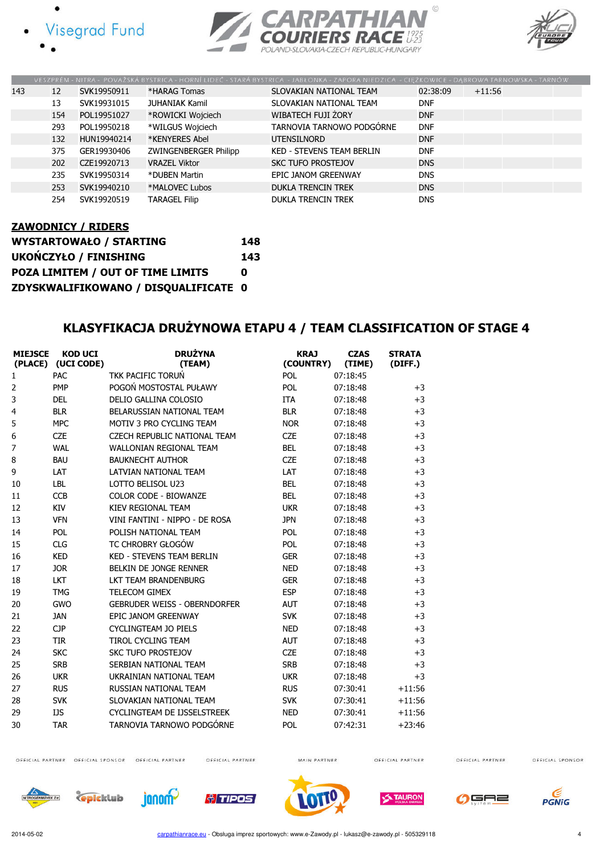







|     |     |             |                       | VESZPRÉM - NITRA - POVAŽSKÁ BYSTRICA - HORNÍ LIDEČ - STARÁ BYSTRICA - JABLONKA - ZAPORA NIEDZICA - CIEŽKOWICE - DABROWA TARNOWSKA - TARNÓW |            |          |
|-----|-----|-------------|-----------------------|--------------------------------------------------------------------------------------------------------------------------------------------|------------|----------|
| 143 | 12  | SVK19950911 | *HARAG Tomas          | SLOVAKIAN NATIONAL TEAM                                                                                                                    | 02:38:09   | $+11:56$ |
|     | 13  | SVK19931015 | <b>JUHANIAK Kamil</b> | SLOVAKIAN NATIONAL TEAM                                                                                                                    | <b>DNF</b> |          |
|     | 154 | POL19951027 | *ROWICKI Wojciech     | WIBATECH FUJI ŻORY                                                                                                                         | <b>DNF</b> |          |
|     | 293 | POL19950218 | *WILGUS Wojciech      | TARNOVIA TARNOWO PODGÓRNE                                                                                                                  | <b>DNF</b> |          |
|     | 132 | HUN19940214 | *KENYERES Abel        | <b>UTENSILNORD</b>                                                                                                                         | <b>DNF</b> |          |
|     | 375 | GER19930406 | ZWINGENBERGER Philipp | <b>KED - STEVENS TEAM BERLIN</b>                                                                                                           | <b>DNF</b> |          |
|     | 202 | CZE19920713 | <b>VRAZEL Viktor</b>  | <b>SKC TUFO PROSTEJOV</b>                                                                                                                  | <b>DNS</b> |          |
|     | 235 | SVK19950314 | *DUBEN Martin         | EPIC JANOM GREENWAY                                                                                                                        | <b>DNS</b> |          |
|     | 253 | SVK19940210 | *MALOVEC Lubos        | <b>DUKLA TRENCIN TREK</b>                                                                                                                  | <b>DNS</b> |          |
|     | 254 | SVK19920519 | <b>TARAGEL Filip</b>  | <b>DUKLA TRENCIN TREK</b>                                                                                                                  | <b>DNS</b> |          |

# ZAWODNICY / RIDERS

| <b>WYSTARTOWAŁO / STARTING</b>       | 148 |
|--------------------------------------|-----|
| <b>UKOŃCZYŁO / FINISHING</b>         | 143 |
| POZA LIMITEM / OUT OF TIME LIMITS    | n   |
| ZDYSKWALIFIKOWANO / DISQUALIFICATE 0 |     |

## KLASYFIKACJA DRUŻYNOWA ETAPU 4 / TEAM CLASSIFICATION OF STAGE 4

| <b>MIEJSCE</b><br>(PLACE) | <b>KOD UCI</b><br>(UCI CODE) | <b>DRUŻYNA</b><br>(TEAM)            | <b>KRAJ</b><br>(COUNTRY) | <b>CZAS</b><br>(TIME) | <b>STRATA</b><br>(DIFF.) |
|---------------------------|------------------------------|-------------------------------------|--------------------------|-----------------------|--------------------------|
| 1                         | PAC                          | <b>TKK PACIFIC TORUŃ</b>            | POL                      | 07:18:45              |                          |
| $\overline{2}$            | <b>PMP</b>                   | POGOŃ MOSTOSTAL PUŁAWY              | POL                      | 07:18:48              | $+3$                     |
| 3                         | <b>DEL</b>                   | DELIO GALLINA COLOSIO               | <b>ITA</b>               | 07:18:48              | $+3$                     |
| 4                         | <b>BLR</b>                   | BELARUSSIAN NATIONAL TEAM           | <b>BLR</b>               | 07:18:48              | $+3$                     |
| 5                         | <b>MPC</b>                   | MOTIV 3 PRO CYCLING TEAM            | <b>NOR</b>               | 07:18:48              | $+3$                     |
| 6                         | <b>CZE</b>                   | <b>CZECH REPUBLIC NATIONAL TEAM</b> | <b>CZE</b>               | 07:18:48              | $+3$                     |
| 7                         | <b>WAL</b>                   | <b>WALLONIAN REGIONAL TEAM</b>      | <b>BEL</b>               | 07:18:48              | $+3$                     |
| 8                         | <b>BAU</b>                   | <b>BAUKNECHT AUTHOR</b>             | <b>CZE</b>               | 07:18:48              | $+3$                     |
| 9                         | LAT                          | LATVIAN NATIONAL TEAM               | LAT                      | 07:18:48              | $+3$                     |
| 10                        | <b>LBL</b>                   | LOTTO BELISOL U23                   | <b>BEL</b>               | 07:18:48              | $+3$                     |
| 11                        | <b>CCB</b>                   | COLOR CODE - BIOWANZE               | <b>BEL</b>               | 07:18:48              | $+3$                     |
| 12                        | KIV                          | KIEV REGIONAL TEAM                  | <b>UKR</b>               | 07:18:48              | $+3$                     |
| 13                        | <b>VFN</b>                   | VINI FANTINI - NIPPO - DE ROSA      | <b>JPN</b>               | 07:18:48              | $+3$                     |
| 14                        | POL                          | POLISH NATIONAL TEAM                | <b>POL</b>               | 07:18:48              | $+3$                     |
| 15                        | <b>CLG</b>                   | TC CHROBRY GŁOGÓW                   | POL                      | 07:18:48              | $+3$                     |
| 16                        | <b>KED</b>                   | <b>KED - STEVENS TEAM BERLIN</b>    | <b>GER</b>               | 07:18:48              | $+3$                     |
| 17                        | <b>JOR</b>                   | BELKIN DE JONGE RENNER              | <b>NED</b>               | 07:18:48              | $+3$                     |
| 18                        | <b>LKT</b>                   | <b>LKT TEAM BRANDENBURG</b>         | <b>GER</b>               | 07:18:48              | $+3$                     |
| 19                        | <b>TMG</b>                   | <b>TELECOM GIMEX</b>                | <b>ESP</b>               | 07:18:48              | $+3$                     |
| 20                        | <b>GWO</b>                   | <b>GEBRUDER WEISS - OBERNDORFER</b> | <b>AUT</b>               | 07:18:48              | $+3$                     |
| 21                        | <b>JAN</b>                   | EPIC JANOM GREENWAY                 | <b>SVK</b>               | 07:18:48              | $+3$                     |
| 22                        | <b>CJP</b>                   | <b>CYCLINGTEAM JO PIELS</b>         | <b>NED</b>               | 07:18:48              | $+3$                     |
| 23                        | <b>TIR</b>                   | <b>TIROL CYCLING TEAM</b>           | <b>AUT</b>               | 07:18:48              | $+3$                     |
| 24                        | <b>SKC</b>                   | <b>SKC TUFO PROSTEJOV</b>           | <b>CZE</b>               | 07:18:48              | $+3$                     |
| 25                        | <b>SRB</b>                   | SERBIAN NATIONAL TEAM               | <b>SRB</b>               | 07:18:48              | $+3$                     |
| 26                        | <b>UKR</b>                   | UKRAINIAN NATIONAL TEAM             | <b>UKR</b>               | 07:18:48              | $+3$                     |
| 27                        | <b>RUS</b>                   | RUSSIAN NATIONAL TEAM               | <b>RUS</b>               | 07:30:41              | $+11:56$                 |
| 28                        | <b>SVK</b>                   | SLOVAKIAN NATIONAL TEAM             | <b>SVK</b>               | 07:30:41              | $+11:56$                 |
| 29                        | IJS                          | CYCLINGTEAM DE IJSSELSTREEK         | <b>NED</b>               | 07:30:41              | $+11:56$                 |
| 30                        | <b>TAR</b>                   | TARNOVIA TARNOWO PODGÓRNE           | POL                      | 07:42:31              | $+23:46$                 |

OFFICIAL PARTNER OFFICIAL SPONSOR OFFICIAL PARTNER

OFFICIAL PARTNER

MAIN PARTNER

OFFICIAL PARTNER

OFFICIAL PARTNER













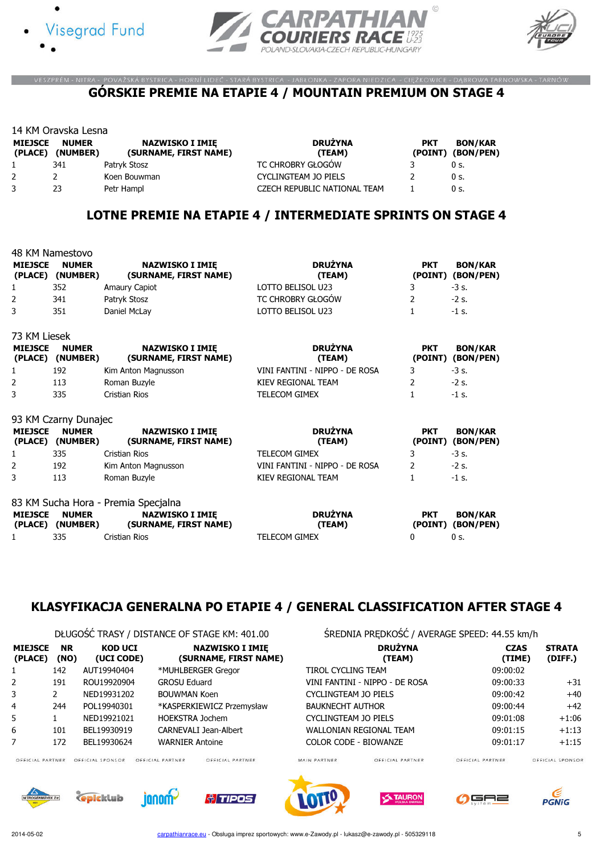





#### VESZPRÉM - NITRA - POVAŽSKÁ BYSTRICA - HORNÍ LIDEČ - STARÁ BYSTRICA - JABŁONKA - ZAPORA NIEDZICA - CIĘŻKOWICE - DĄBROWA TARNOWSKA - TARNÓW GÓRSKIE PREMIE NA ETAPIE 4 / MOUNTAIN PREMIUM ON STAGE 4

|                           | 14 KM Oravska Lesna      |                                                 |                              |                       |                             |  |  |  |  |
|---------------------------|--------------------------|-------------------------------------------------|------------------------------|-----------------------|-----------------------------|--|--|--|--|
| <b>MIEJSCE</b><br>(PLACE) | <b>NUMER</b><br>(NUMBER) | <b>NAZWISKO I IMIE</b><br>(SURNAME, FIRST NAME) | <b>DRUŻYNA</b><br>(TEAM)     | <b>PKT</b><br>(POINT) | <b>BON/KAR</b><br>(BON/PEN) |  |  |  |  |
|                           | 341                      | Patryk Stosz                                    | TC CHROBRY GŁOGÓW            |                       | 0 s.                        |  |  |  |  |
|                           |                          | Koen Bouwman                                    | <b>CYCLINGTEAM JO PIELS</b>  |                       | 0 s.                        |  |  |  |  |
|                           | 23                       | Petr Hampl                                      | CZECH REPUBLIC NATIONAL TEAM |                       | 0 s.                        |  |  |  |  |

## LOTNE PREMIE NA ETAPIE 4 / INTERMEDIATE SPRINTS ON STAGE 4

|                           | 48 KM Namestovo                  |                                                               |                                |                       |                                     |
|---------------------------|----------------------------------|---------------------------------------------------------------|--------------------------------|-----------------------|-------------------------------------|
| <b>MIEJSCE</b>            | <b>NUMER</b><br>(PLACE) (NUMBER) | <b>NAZWISKO I IMIĘ</b><br>(SURNAME, FIRST NAME)               | <b>DRUŻYNA</b><br>(TEAM)       | <b>PKT</b><br>(POINT) | <b>BON/KAR</b><br>(BON/PEN)         |
| 1                         | 352                              | Amaury Capiot                                                 | LOTTO BELISOL U23              | 3                     | $-3$ s.                             |
| 2                         | 341                              | Patryk Stosz                                                  | TC CHROBRY GŁOGÓW              | 2                     | $-2$ s.                             |
| 3                         | 351                              | Daniel McLay                                                  | LOTTO BELISOL U23              | $\mathbf{1}$          | $-1$ s.                             |
| 73 KM Liesek              |                                  |                                                               |                                |                       |                                     |
| <b>MIEJSCE</b><br>(PLACE) | <b>NUMER</b><br>(NUMBER)         | <b>NAZWISKO I IMIE</b><br>(SURNAME, FIRST NAME)               | <b>DRUŻYNA</b><br>(TEAM)       | <b>PKT</b><br>(POINT) | <b>BON/KAR</b><br>(BON/PEN)         |
| 1                         | 192                              | Kim Anton Magnusson                                           | VINI FANTINI - NIPPO - DE ROSA | 3                     | $-3$ s.                             |
| 2                         | 113                              | Roman Buzyle                                                  | KIEV REGIONAL TEAM             | $\overline{2}$        | $-2$ s.                             |
| 3                         | 335                              | Cristian Rios                                                 | <b>TELECOM GIMEX</b>           | $\mathbf{1}$          | $-1$ s.                             |
|                           | 93 KM Czarny Dunajec             |                                                               |                                |                       |                                     |
| <b>MIEJSCE</b><br>(PLACE) | <b>NUMER</b><br>(NUMBER)         | <b>NAZWISKO I IMIE</b><br>(SURNAME, FIRST NAME)               | <b>DRUŻYNA</b><br>(TEAM)       | <b>PKT</b>            | <b>BON/KAR</b><br>(POINT) (BON/PEN) |
| 1                         | 335                              | Cristian Rios                                                 | <b>TELECOM GIMEX</b>           | 3                     | $-3$ s.                             |
| 2                         | 192                              | Kim Anton Magnusson                                           | VINI FANTINI - NIPPO - DE ROSA | $\overline{2}$        | $-2$ s.                             |
| 3                         | 113                              | Roman Buzyle                                                  | KIEV REGIONAL TEAM             | $\mathbf{1}$          | $-1$ s.                             |
| <b>MIEJSCE</b>            | <b>NUMER</b>                     | 83 KM Sucha Hora - Premia Specjalna<br><b>NAZWISKO I IMIE</b> | <b>DRUŻYNA</b>                 | <b>PKT</b>            | <b>BON/KAR</b>                      |
| 1                         | (PLACE) (NUMBER)<br>335          | (SURNAME, FIRST NAME)<br>Cristian Rios                        | (TEAM)<br><b>TELECOM GIMEX</b> | (POINT)<br>0          | (BON/PEN)<br>0s                     |

#### KLASYFIKACJA GENERALNA PO ETAPIE 4 / GENERAL CLASSIFICATION AFTER STAGE 4

DŁUGOŚĆ TRASY / DISTANCE OF STAGE KM: 401.00 ŚREDNIA PRĘDKOŚĆ / AVERAGE SPEED: 44.55 km/h

| <b>MIEJSCE</b><br>(PLACE) | <b>NR</b><br>(NO) | <b>KOD UCI</b><br>(UCI CODE) | <b>NAZWISKO I IMIE</b><br>(SURNAME, FIRST NAME) | <b>DRUŽYNA</b><br>(TEAM)       | <b>CZAS</b><br>(TIMI |
|---------------------------|-------------------|------------------------------|-------------------------------------------------|--------------------------------|----------------------|
| 1                         | 142               | AUT19940404                  | *MUHLBERGER Gregor                              | TIROL CYCLING TEAM             | 09:00:02             |
| $\mathbf{2}$              | 191               | ROU19920904                  | <b>GROSU Eduard</b>                             | VINI FANTINI - NIPPO - DE ROSA | 09:00:33             |
| 3                         |                   | NED19931202                  | <b>BOUWMAN Koen</b>                             | CYCLINGTEAM JO PIELS           | 09:00:42             |
| 4                         | 244               | POL19940301                  | *KASPERKIEWICZ Przemysław                       | <b>BAUKNECHT AUTHOR</b>        | 09:00:44             |
| 5                         |                   | NED19921021                  | <b>HOEKSTRA Jochem</b>                          | CYCLINGTEAM JO PIELS           | 09:01:08             |
| 6                         | 101               | BEL19930919                  | <b>CARNEVALI Jean-Albert</b>                    | <b>WALLONIAN REGIONAL TEAM</b> | 09:01:15             |
|                           | 172               | BEL19930624                  | <b>WARNIER Antoine</b>                          | <b>COLOR CODE - BIOWANZE</b>   | 09:01:17             |

janom-

| <b>MIEJSCE</b><br>(PLACE) | <b>NR</b><br>(NO) | <b>KOD UCI</b><br>(UCI CODE) | <b>NAZWISKO I IMIE</b><br>(SURNAME, FIRST NAME) | <b>DRUŻYNA</b><br>(TEAM)       | <b>CZAS</b><br>(TIME) | <b>STRATA</b><br>(DIFF.) |
|---------------------------|-------------------|------------------------------|-------------------------------------------------|--------------------------------|-----------------------|--------------------------|
|                           | 142               | AUT19940404                  | *MUHLBERGER Gregor                              | TIROL CYCLING TEAM             | 09:00:02              |                          |
| $\mathbf{2}$              | 191               | ROU19920904                  | <b>GROSU Eduard</b>                             | VINI FANTINI - NIPPO - DE ROSA | 09:00:33              | $+31$                    |
| 3.                        |                   | NED19931202                  | <b>BOUWMAN Koen</b>                             | CYCLINGTEAM JO PIELS           | 09:00:42              | $+40$                    |
| 4                         | 244               | POL19940301                  | *KASPERKIEWICZ Przemysław                       | <b>BAUKNECHT AUTHOR</b>        | 09:00:44              | $+42$                    |
| 5.                        |                   | NED19921021                  | <b>HOEKSTRA Jochem</b>                          | CYCLINGTEAM JO PIELS           | 09:01:08              | $+1:06$                  |
| 6                         | 101               | BEL19930919                  | <b>CARNEVALI Jean-Albert</b>                    | WALLONIAN REGIONAL TEAM        | 09:01:15              | $+1:13$                  |
|                           | 172               | BEL19930624                  | <b>WARNIER Antoine</b>                          | COLOR CODE - BIOWANZE          | 09:01:17              | $+1:15$                  |

OFFICIAL PARTNER OFFICIAL SPONSOR OFFICIAL PARTNER

epicklub

OFFICIAL PARTNER

**Al TIPOS** 



MAIN PARTNER



OFFICIAL PARTNER



OFFICIAL PARTNER

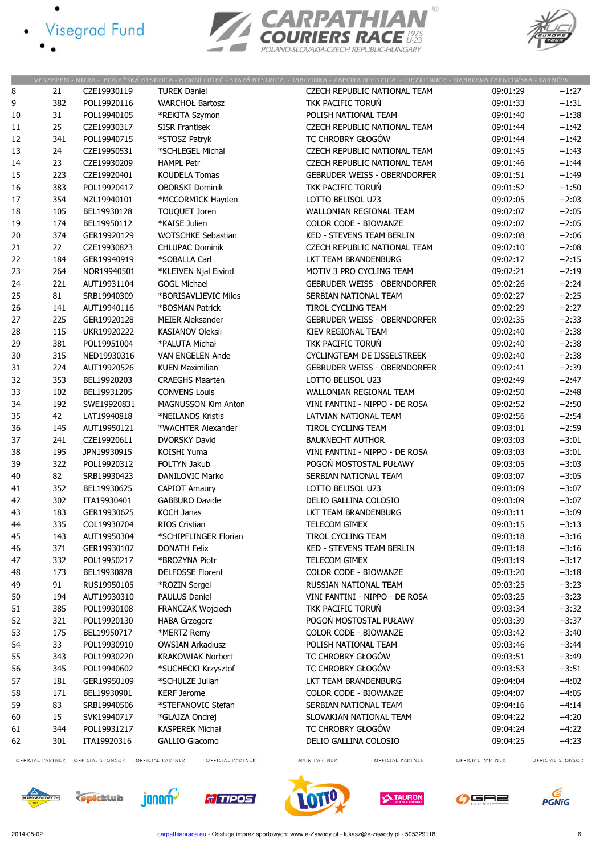- · Visegrad Fund
	-





|        |                  |                  |                                      | VESZPRÉM - NITRA - POVAŽSKÁ BYSTRICA - HORNÍ LIDEČ - STARÁ BYSTRICA - JABŁONKA - ZAPORA NIEDZICA - CIĘŻKOWICE - DĄBROWA TARNOWSKA - TARNÓW |                  |                  |
|--------|------------------|------------------|--------------------------------------|--------------------------------------------------------------------------------------------------------------------------------------------|------------------|------------------|
| 8      | 21               | CZE19930119      | <b>TUREK Daniel</b>                  | CZECH REPUBLIC NATIONAL TEAM                                                                                                               | 09:01:29         | $+1:27$          |
| 9      | 382              | POL19920116      | <b>WARCHOŁ Bartosz</b>               | TKK PACIFIC TORUN                                                                                                                          | 09:01:33         | $+1:31$          |
| 10     | 31               | POL19940105      | *REKITA Szymon                       | POLISH NATIONAL TEAM                                                                                                                       | 09:01:40         | $+1:38$          |
| $11\,$ | 25               | CZE19930317      | <b>SISR Frantisek</b>                | CZECH REPUBLIC NATIONAL TEAM                                                                                                               | 09:01:44         | $+1:42$          |
| 12     | 341              | POL19940715      | *STOSZ Patryk                        | TC CHROBRY GŁOGÓW                                                                                                                          | 09:01:44         | $+1:42$          |
| 13     | 24               | CZE19950531      | *SCHLEGEL Michal                     | CZECH REPUBLIC NATIONAL TEAM                                                                                                               | 09:01:45         | $+1:43$          |
| 14     | 23               | CZE19930209      | <b>HAMPL Petr</b>                    | CZECH REPUBLIC NATIONAL TEAM                                                                                                               | 09:01:46         | $+1:44$          |
| 15     | 223              | CZE19920401      | <b>KOUDELA Tomas</b>                 | <b>GEBRUDER WEISS - OBERNDORFER</b>                                                                                                        | 09:01:51         | $+1:49$          |
|        |                  | POL19920417      |                                      | TKK PACIFIC TORUN                                                                                                                          | 09:01:52         |                  |
| 16     | 383              |                  | <b>OBORSKI Dominik</b>               |                                                                                                                                            |                  | $+1:50$          |
| $17\,$ | 354              | NZL19940101      | *MCCORMICK Hayden                    | LOTTO BELISOL U23                                                                                                                          | 09:02:05         | $+2:03$          |
| 18     | 105              | BEL19930128      | <b>TOUQUET Joren</b>                 | WALLONIAN REGIONAL TEAM                                                                                                                    | 09:02:07         | $+2:05$          |
| 19     | 174              | BEL19950112      | *KAISE Julien                        | COLOR CODE - BIOWANZE                                                                                                                      | 09:02:07         | $+2:05$          |
| 20     | 374              | GER19920129      | <b>WOTSCHKE Sebastian</b>            | KED - STEVENS TEAM BERLIN                                                                                                                  | 09:02:08         | $+2:06$          |
| 21     | 22               | CZE19930823      | <b>CHLUPAC Dominik</b>               | CZECH REPUBLIC NATIONAL TEAM                                                                                                               | 09:02:10         | $+2:08$          |
| 22     | 184              | GER19940919      | *SOBALLA Carl                        | LKT TEAM BRANDENBURG                                                                                                                       | 09:02:17         | $+2:15$          |
| 23     | 264              | NOR19940501      | *KLEIVEN Njal Eivind                 | MOTIV 3 PRO CYCLING TEAM                                                                                                                   | 09:02:21         | $+2:19$          |
| 24     | 221              | AUT19931104      | <b>GOGL Michael</b>                  | <b>GEBRUDER WEISS - OBERNDORFER</b>                                                                                                        | 09:02:26         | $+2:24$          |
| 25     | 81               | SRB19940309      | *BORISAVLJEVIC Milos                 | SERBIAN NATIONAL TEAM                                                                                                                      | 09:02:27         | $+2:25$          |
| 26     | 141              | AUT19940116      | *BOSMAN Patrick                      | TIROL CYCLING TEAM                                                                                                                         | 09:02:29         | $+2:27$          |
| 27     | 225              | GER19920128      | <b>MEIER Aleksander</b>              | <b>GEBRUDER WEISS - OBERNDORFER</b>                                                                                                        | 09:02:35         | $+2:33$          |
| 28     | 115              | UKR19920222      | <b>KASIANOV Oleksii</b>              | <b>KIEV REGIONAL TEAM</b>                                                                                                                  | 09:02:40         | $+2:38$          |
| 29     | 381              | POL19951004      | *PALUTA Michał                       | TKK PACIFIC TORUN                                                                                                                          | 09:02:40         | $+2:38$          |
| 30     | 315              | NED19930316      | VAN ENGELEN Ande                     | CYCLINGTEAM DE IJSSELSTREEK                                                                                                                | 09:02:40         | $+2:38$          |
| 31     | 224              | AUT19920526      | <b>KUEN Maximilian</b>               | <b>GEBRUDER WEISS - OBERNDORFER</b>                                                                                                        | 09:02:41         | $+2:39$          |
| 32     | 353              | BEL19920203      | <b>CRAEGHS Maarten</b>               | LOTTO BELISOL U23                                                                                                                          | 09:02:49         | $+2:47$          |
| 33     |                  |                  | <b>CONVENS Louis</b>                 | WALLONIAN REGIONAL TEAM                                                                                                                    | 09:02:50         | $+2:48$          |
|        | 102              | BEL19931205      |                                      |                                                                                                                                            |                  |                  |
| 34     | 192              | SWE19920831      | <b>MAGNUSSON Kim Anton</b>           | VINI FANTINI - NIPPO - DE ROSA                                                                                                             | 09:02:52         | $+2:50$          |
| 35     | 42               | LAT19940818      | *NEILANDS Kristis                    | LATVIAN NATIONAL TEAM                                                                                                                      | 09:02:56         | $+2:54$          |
| 36     | 145              | AUT19950121      | *WACHTER Alexander                   | TIROL CYCLING TEAM                                                                                                                         | 09:03:01         | $+2:59$          |
| 37     | 241              | CZE19920611      | DVORSKY David                        | <b>BAUKNECHT AUTHOR</b>                                                                                                                    | 09:03:03         | $+3:01$          |
| 38     | 195              | JPN19930915      | KOISHI Yuma                          | VINI FANTINI - NIPPO - DE ROSA                                                                                                             | 09:03:03         | $+3:01$          |
| 39     | 322              | POL19920312      | <b>FOLTYN Jakub</b>                  | POGOŃ MOSTOSTAL PUŁAWY                                                                                                                     | 09:03:05         | $+3:03$          |
| 40     | 82               | SRB19930423      | DANILOVIC Marko                      | SERBIAN NATIONAL TEAM                                                                                                                      | 09:03:07         | $+3:05$          |
| 41     | 352              | BEL19930625      | <b>CAPIOT Amaury</b>                 | LOTTO BELISOL U23                                                                                                                          | 09:03:09         | $+3:07$          |
| 42     | 302              | ITA19930401      | <b>GABBURO Davide</b>                | DELIO GALLINA COLOSIO                                                                                                                      | 09:03:09         | $+3:07$          |
| 43     | 183              | GER19930625      | <b>KOCH Janas</b>                    | LKT TEAM BRANDENBURG                                                                                                                       | 09:03:11         | $+3:09$          |
| 44     | 335              | COL19930704      | RIOS Cristian                        | TELECOM GIMEX                                                                                                                              | 09:03:15         | $+3:13$          |
| 45     | 143              | AUT19950304      | *SCHIPFLINGER Florian                | TIROL CYCLING TEAM                                                                                                                         | 09:03:18         | $+3:16$          |
| 46     | 371              | GER19930107      | <b>DONATH Felix</b>                  | KED - STEVENS TEAM BERLIN                                                                                                                  | 09:03:18         | $+3:16$          |
| 47     | 332              | POL19950217      | *BROŻYNA Piotr                       | TELECOM GIMEX                                                                                                                              | 09:03:19         | $+3:17$          |
| 48     | 173              | BEL19930828      | <b>DELFOSSE Florent</b>              | COLOR CODE - BIOWANZE                                                                                                                      | 09:03:20         | $+3:18$          |
| 49     | 91               | RUS19950105      | *ROZIN Sergei                        | RUSSIAN NATIONAL TEAM                                                                                                                      | 09:03:25         | $+3:23$          |
| 50     | 194              | AUT19930310      | <b>PAULUS Daniel</b>                 | VINI FANTINI - NIPPO - DE ROSA                                                                                                             | 09:03:25         | $+3:23$          |
| 51     | 385              | POL19930108      | <b>FRANCZAK Wojciech</b>             | TKK PACIFIC TORUN                                                                                                                          | 09:03:34         | $+3:32$          |
| 52     | 321              | POL19920130      | <b>HABA Grzegorz</b>                 | POGOŃ MOSTOSTAL PUŁAWY                                                                                                                     | 09:03:39         | $+3:37$          |
| 53     | 175              | BEL19950717      | *MERTZ Remy                          | <b>COLOR CODE - BIOWANZE</b>                                                                                                               | 09:03:42         | $+3:40$          |
|        |                  |                  |                                      |                                                                                                                                            |                  |                  |
| 54     | 33               | POL19930910      | <b>OWSIAN Arkadiusz</b>              | POLISH NATIONAL TEAM                                                                                                                       | 09:03:46         | $+3:44$          |
| 55     | 343              | POL19930220      | <b>KRAKOWIAK Norbert</b>             | TC CHROBRY GŁOGÓW                                                                                                                          | 09:03:51         | $+3:49$          |
| 56     | 345              | POL19940602      | *SUCHECKI Krzysztof                  | TC CHROBRY GŁOGÓW                                                                                                                          | 09:03:53         | $+3:51$          |
| 57     | 181              | GER19950109      | *SCHULZE Julian                      | LKT TEAM BRANDENBURG                                                                                                                       | 09:04:04         | $+4:02$          |
| 58     | 171              | BEL19930901      | <b>KERF Jerome</b>                   | <b>COLOR CODE - BIOWANZE</b>                                                                                                               | 09:04:07         | $+4:05$          |
| 59     | 83               | SRB19940506      | *STEFANOVIC Stefan                   | SERBIAN NATIONAL TEAM                                                                                                                      | 09:04:16         | $+4:14$          |
| 60     | 15               | SVK19940717      | *GLAJZA Ondrej                       | SLOVAKIAN NATIONAL TEAM                                                                                                                    | 09:04:22         | $+4:20$          |
| 61     | 344              | POL19931217      | KASPEREK Michał                      | TC CHROBRY GŁOGÓW                                                                                                                          | 09:04:24         | $+4:22$          |
| 62     | 301              | ITA19920316      | <b>GALLIO Giacomo</b>                | DELIO GALLINA COLOSIO                                                                                                                      | 09:04:25         | $+4:23$          |
|        | OFFICIAL PARTNER | OFFICIAL SPONSOR | OFFICIAL PARTNER<br>OFFICIAL PARTNER | OFFICIAL PARTNER<br>MAIN PARTNER                                                                                                           | OFFICIAL PARTNER | OFFICIAL SPONSOR |

OFFICIAL PARTNER OFFICIAL SPONSOR OFFICIAL PARTNER

OFFICIAL PARTNER















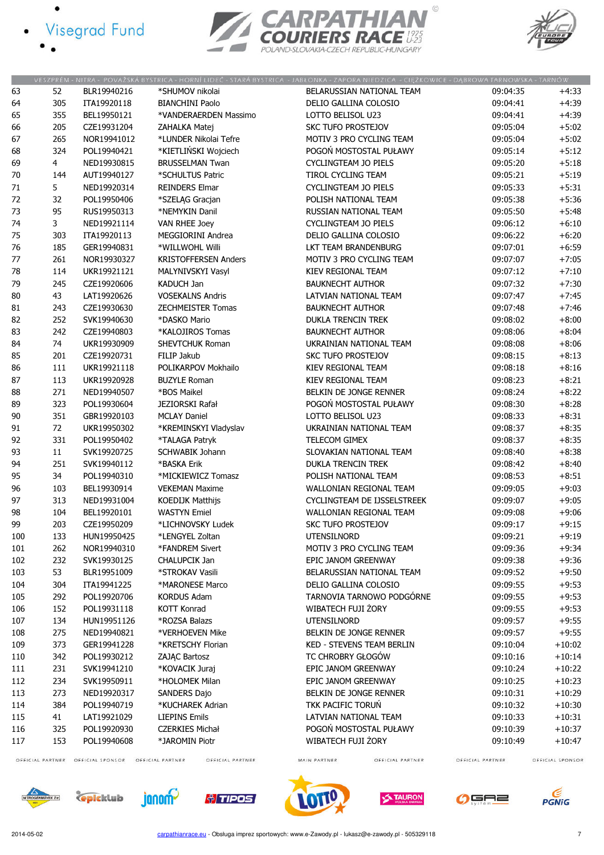- · Visegrad Fund
	-





|        |                  |                  |                                      | VESZPRÉM - NITRA - POVAŽSKÁ BYSTRICA - HORNÍ LIDEČ - STARÁ BYSTRICA - JABŁONKA - ZAPORA NIEDZICA - CIĘŻKOWICE - DĄBROWA TARNOWSKA - TARNÓW |                  |                  |
|--------|------------------|------------------|--------------------------------------|--------------------------------------------------------------------------------------------------------------------------------------------|------------------|------------------|
| 63     | 52               | BLR19940216      | *SHUMOV nikolai                      | BELARUSSIAN NATIONAL TEAM                                                                                                                  | 09:04:35         | $+4:33$          |
| 64     | 305              | ITA19920118      | <b>BIANCHINI Paolo</b>               | DELIO GALLINA COLOSIO                                                                                                                      | 09:04:41         | $+4:39$          |
| 65     | 355              | BEL19950121      | *VANDERAERDEN Massimo                | LOTTO BELISOL U23                                                                                                                          | 09:04:41         | $+4:39$          |
| 66     | 205              | CZE19931204      | ZAHALKA Matej                        | <b>SKC TUFO PROSTEJOV</b>                                                                                                                  | 09:05:04         | $+5:02$          |
| 67     | 265              | NOR19941012      | *LUNDER Nikolai Tefre                | MOTIV 3 PRO CYCLING TEAM                                                                                                                   | 09:05:04         | $+5:02$          |
| 68     | 324              | POL19940421      | *KIETLIŃSKI Wojciech                 | POGOŃ MOSTOSTAL PUŁAWY                                                                                                                     | 09:05:14         | $+5:12$          |
| 69     | $\overline{4}$   | NED19930815      | <b>BRUSSELMAN Twan</b>               | CYCLINGTEAM JO PIELS                                                                                                                       | 09:05:20         | $+5:18$          |
| $70\,$ | 144              | AUT19940127      | *SCHULTUS Patric                     | TIROL CYCLING TEAM                                                                                                                         | 09:05:21         | $+5:19$          |
| 71     | 5                | NED19920314      | <b>REINDERS Elmar</b>                | CYCLINGTEAM JO PIELS                                                                                                                       | 09:05:33         | $+5:31$          |
| 72     |                  |                  |                                      | POLISH NATIONAL TEAM                                                                                                                       | 09:05:38         | $+5:36$          |
| 73     | 32<br>95         | POL19950406      | *SZELĄG Gracjan<br>*NEMYKIN Danil    |                                                                                                                                            |                  | $+5:48$          |
|        |                  | RUS19950313      |                                      | RUSSIAN NATIONAL TEAM                                                                                                                      | 09:05:50         |                  |
| 74     | 3                | NED19921114      | VAN RHEE Joey                        | CYCLINGTEAM JO PIELS                                                                                                                       | 09:06:12         | $+6:10$          |
| 75     | 303              | ITA19920113      | MEGGIORINI Andrea                    | DELIO GALLINA COLOSIO                                                                                                                      | 09:06:22         | $+6:20$          |
| 76     | 185              | GER19940831      | *WILLWOHL Willi                      | LKT TEAM BRANDENBURG                                                                                                                       | 09:07:01         | $+6:59$          |
| $77$   | 261              | NOR19930327      | <b>KRISTOFFERSEN Anders</b>          | MOTIV 3 PRO CYCLING TEAM                                                                                                                   | 09:07:07         | $+7:05$          |
| 78     | 114              | UKR19921121      | MALYNIVSKYI Vasyl                    | KIEV REGIONAL TEAM                                                                                                                         | 09:07:12         | $+7:10$          |
| 79     | 245              | CZE19920606      | KADUCH Jan                           | <b>BAUKNECHT AUTHOR</b>                                                                                                                    | 09:07:32         | $+7:30$          |
| 80     | 43               | LAT19920626      | <b>VOSEKALNS Andris</b>              | LATVIAN NATIONAL TEAM                                                                                                                      | 09:07:47         | $+7:45$          |
| 81     | 243              | CZE19930630      | ZECHMEISTER Tomas                    | <b>BAUKNECHT AUTHOR</b>                                                                                                                    | 09:07:48         | $+7:46$          |
| 82     | 252              | SVK19940630      | *DASKO Mario                         | <b>DUKLA TRENCIN TREK</b>                                                                                                                  | 09:08:02         | $+8:00$          |
| 83     | 242              | CZE19940803      | *KALOJIROS Tomas                     | <b>BAUKNECHT AUTHOR</b>                                                                                                                    | 09:08:06         | $+8:04$          |
| 84     | 74               | UKR19930909      | SHEVTCHUK Roman                      | UKRAINIAN NATIONAL TEAM                                                                                                                    | 09:08:08         | $+8:06$          |
| 85     | 201              | CZE19920731      | FILIP Jakub                          | <b>SKC TUFO PROSTEJOV</b>                                                                                                                  | 09:08:15         | $+8:13$          |
| 86     | 111              | UKR19921118      | POLIKARPOV Mokhailo                  | KIEV REGIONAL TEAM                                                                                                                         | 09:08:18         | $+8:16$          |
| 87     | 113              | UKR19920928      | <b>BUZYLE Roman</b>                  | KIEV REGIONAL TEAM                                                                                                                         | 09:08:23         | $+8:21$          |
| 88     | 271              | NED19940507      | *BOS Maikel                          | BELKIN DE JONGE RENNER                                                                                                                     | 09:08:24         | $+8:22$          |
| 89     | 323              | POL19930604      | JEZIORSKI Rafał                      | POGOŃ MOSTOSTAL PUŁAWY                                                                                                                     | 09:08:30         | $+8:28$          |
| 90     | 351              | GBR19920103      | <b>MCLAY Daniel</b>                  | LOTTO BELISOL U23                                                                                                                          | 09:08:33         | $+8:31$          |
| 91     | 72               | UKR19950302      | *KREMINSKYI Vladyslav                | UKRAINIAN NATIONAL TEAM                                                                                                                    | 09:08:37         | $+8:35$          |
| 92     | 331              | POL19950402      | *TALAGA Patryk                       | TELECOM GIMEX                                                                                                                              | 09:08:37         | $+8:35$          |
| 93     | 11               | SVK19920725      | <b>SCHWABIK Johann</b>               | SLOVAKIAN NATIONAL TEAM                                                                                                                    | 09:08:40         | $+8:38$          |
|        | 251              |                  | *BASKA Erik                          | <b>DUKLA TRENCIN TREK</b>                                                                                                                  |                  | $+8:40$          |
| 94     |                  | SVK19940112      |                                      |                                                                                                                                            | 09:08:42         |                  |
| 95     | 34               | POL19940310      | *MICKIEWICZ Tomasz                   | POLISH NATIONAL TEAM                                                                                                                       | 09:08:53         | $+8:51$          |
| 96     | 103              | BEL19930914      | <b>VEKEMAN Maxime</b>                | <b>WALLONIAN REGIONAL TEAM</b>                                                                                                             | 09:09:05         | $+9:03$          |
| 97     | 313              | NED19931004      | <b>KOEDIJK Matthijs</b>              | CYCLINGTEAM DE IJSSELSTREEK                                                                                                                | 09:09:07         | $+9:05$          |
| 98     | 104              | BEL19920101      | <b>WASTYN Emiel</b>                  | WALLONIAN REGIONAL TEAM                                                                                                                    | 09:09:08         | $+9:06$          |
| 99     | 203              | CZE19950209      | *LICHNOVSKY Ludek                    | <b>SKC TUFO PROSTEJOV</b>                                                                                                                  | 09:09:17         | $+9:15$          |
| 100    | 133              | HUN19950425      | *LENGYEL Zoltan                      | UTENSILNORD                                                                                                                                | 09:09:21         | $+9:19$          |
| 101    | 262              | NOR19940310      | *FANDREM Sivert                      | MOTIV 3 PRO CYCLING TEAM                                                                                                                   | 09:09:36         | $+9:34$          |
| 102    | 232              | SVK19930125      | CHALUPCIK Jan                        | EPIC JANOM GREENWAY                                                                                                                        | 09:09:38         | $+9:36$          |
| 103    | 53               | BLR19951009      | *STROKAV Vasili                      | BELARUSSIAN NATIONAL TEAM                                                                                                                  | 09:09:52         | $+9:50$          |
| 104    | 304              | ITA19941225      | *MARONESE Marco                      | DELIO GALLINA COLOSIO                                                                                                                      | 09:09:55         | $+9:53$          |
| 105    | 292              | POL19920706      | <b>KORDUS Adam</b>                   | TARNOVIA TARNOWO PODGÓRNE                                                                                                                  | 09:09:55         | $+9:53$          |
| 106    | 152              | POL19931118      | <b>KOTT Konrad</b>                   | WIBATECH FUJI ŻORY                                                                                                                         | 09:09:55         | $+9:53$          |
| 107    | 134              | HUN19951126      | *ROZSA Balazs                        | <b>UTENSILNORD</b>                                                                                                                         | 09:09:57         | $+9:55$          |
| 108    | 275              | NED19940821      | *VERHOEVEN Mike                      | BELKIN DE JONGE RENNER                                                                                                                     | 09:09:57         | $+9:55$          |
| 109    | 373              | GER19941228      | *KRETSCHY Florian                    | <b>KED - STEVENS TEAM BERLIN</b>                                                                                                           | 09:10:04         | $+10:02$         |
| 110    | 342              | POL19930212      | ZAJĄC Bartosz                        | TC CHROBRY GŁOGÓW                                                                                                                          | 09:10:16         | $+10:14$         |
| 111    | 231              | SVK19941210      | *KOVACIK Juraj                       | EPIC JANOM GREENWAY                                                                                                                        | 09:10:24         | $+10:22$         |
| 112    | 234              | SVK19950911      | *HOLOMEK Milan                       | EPIC JANOM GREENWAY                                                                                                                        | 09:10:25         | $+10:23$         |
| 113    | 273              | NED19920317      | <b>SANDERS Dajo</b>                  | BELKIN DE JONGE RENNER                                                                                                                     | 09:10:31         | $+10:29$         |
| 114    | 384              | POL19940719      | *KUCHAREK Adrian                     | TKK PACIFIC TORUŃ                                                                                                                          | 09:10:32         | $+10:30$         |
| 115    | 41               | LAT19921029      | <b>LIEPINS Emils</b>                 | LATVIAN NATIONAL TEAM                                                                                                                      | 09:10:33         | $+10:31$         |
| 116    |                  | POL19920930      | <b>CZERKIES Michał</b>               | POGOŃ MOSTOSTAL PUŁAWY                                                                                                                     | 09:10:39         | $+10:37$         |
|        | 325              |                  |                                      |                                                                                                                                            |                  |                  |
| 117    | 153              | POL19940608      | *JAROMIN Piotr                       | WIBATECH FUJI ŻORY                                                                                                                         | 09:10:49         | $+10:47$         |
|        | OFFICIAL PARTNER | OFFICIAL SPONSOR | OFFICIAL PARTNER<br>OFFICIAL PARTNER | MAIN PARTNER<br>OFFICIAL PARTNER                                                                                                           | OFFICIAL PARTNER | OFFICIAL SPONSOR |

OFFICIAL PARTNER OFFICIAL SPONSOR OFFICIAL PARTNER

OFFICIAL PARTNER













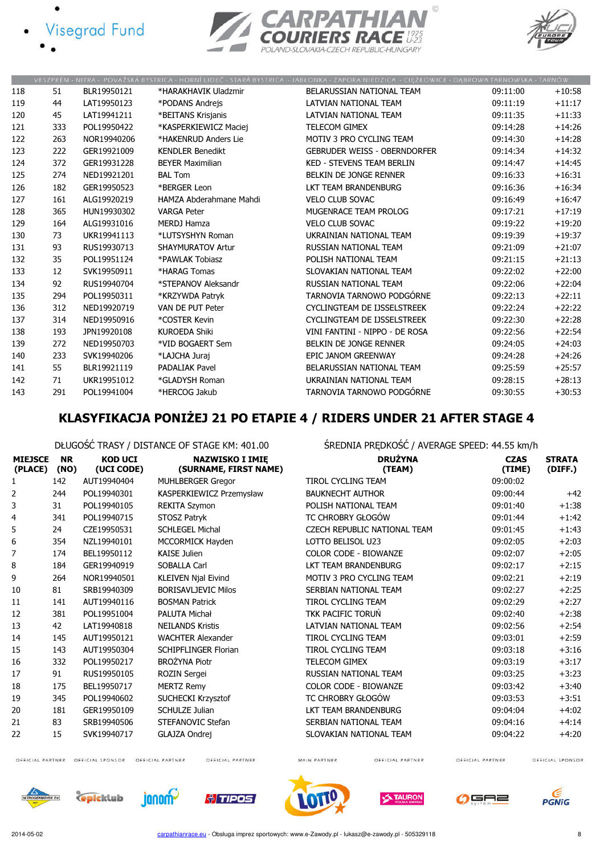- **Visegrad Fund** 
	-





|     |     |             |                          | VESZPRÉM - NITRA - POVAŽSKÁ BYSTRICA - HORNÍ LIDEČ - STARÁ BYSTRICA - JABŁONKA - ZAPORA NIEDZICA - CIEŻKOWICE - DABROWA TARNOWSKA - TARNÓW |          |          |
|-----|-----|-------------|--------------------------|--------------------------------------------------------------------------------------------------------------------------------------------|----------|----------|
| 118 | 51  | BLR19950121 | *HARAKHAVIK Uladzmir     | BELARUSSIAN NATIONAL TEAM                                                                                                                  | 09:11:00 | $+10:58$ |
| 119 | 44  | LAT19950123 | *PODANS Andrejs          | LATVIAN NATIONAL TEAM                                                                                                                      | 09:11:19 | $+11:17$ |
| 120 | 45  | LAT19941211 | *BEITANS Krisjanis       | LATVIAN NATIONAL TEAM                                                                                                                      | 09:11:35 | $+11:33$ |
| 121 | 333 | POL19950422 | *KASPERKIEWICZ Maciej    | <b>TELECOM GIMEX</b>                                                                                                                       | 09:14:28 | $+14:26$ |
| 122 | 263 | NOR19940206 | *HAKENRUD Anders Lie     | MOTIV 3 PRO CYCLING TEAM                                                                                                                   | 09:14:30 | $+14:28$ |
| 123 | 222 | GER19921009 | <b>KENDLER Benedikt</b>  | <b>GEBRUDER WEISS - OBERNDORFER</b>                                                                                                        | 09:14:34 | $+14:32$ |
| 124 | 372 | GER19931228 | <b>BEYER Maximilian</b>  | <b>KED - STEVENS TEAM BERLIN</b>                                                                                                           | 09:14:47 | $+14:45$ |
| 125 | 274 | NED19921201 | <b>BAL Tom</b>           | BELKIN DE JONGE RENNER                                                                                                                     | 09:16:33 | $+16:31$ |
| 126 | 182 | GER19950523 | *BERGER Leon             | LKT TEAM BRANDENBURG                                                                                                                       | 09:16:36 | $+16:34$ |
| 127 | 161 | ALG19920219 | HAMZA Abderahmane Mahdi  | <b>VELO CLUB SOVAC</b>                                                                                                                     | 09:16:49 | $+16:47$ |
| 128 | 365 | HUN19930302 | <b>VARGA Peter</b>       | MUGENRACE TEAM PROLOG                                                                                                                      | 09:17:21 | $+17:19$ |
| 129 | 164 | ALG19931016 | <b>MERDJ Hamza</b>       | <b>VELO CLUB SOVAC</b>                                                                                                                     | 09:19:22 | $+19:20$ |
| 130 | 73  | UKR19941113 | *LUTSYSHYN Roman         | UKRAINIAN NATIONAL TEAM                                                                                                                    | 09:19:39 | $+19:37$ |
| 131 | 93  | RUS19930713 | <b>SHAYMURATOV Artur</b> | RUSSIAN NATIONAL TEAM                                                                                                                      | 09:21:09 | $+21:07$ |
| 132 | 35  | POL19951124 | *PAWLAK Tobiasz          | POLISH NATIONAL TEAM                                                                                                                       | 09:21:15 | $+21:13$ |
| 133 | 12  | SVK19950911 | *HARAG Tomas             | SLOVAKIAN NATIONAL TEAM                                                                                                                    | 09:22:02 | $+22:00$ |
| 134 | 92  | RUS19940704 | *STEPANOV Aleksandr      | RUSSIAN NATIONAL TEAM                                                                                                                      | 09:22:06 | $+22:04$ |
| 135 | 294 | POL19950311 | *KRZYWDA Patryk          | TARNOVIA TARNOWO PODGÓRNE                                                                                                                  | 09:22:13 | $+22:11$ |
| 136 | 312 | NED19920719 | VAN DE PUT Peter         | CYCLINGTEAM DE IJSSELSTREEK                                                                                                                | 09:22:24 | $+22:22$ |
| 137 | 314 | NED19950916 | *COSTER Kevin            | CYCLINGTEAM DE IJSSELSTREEK                                                                                                                | 09:22:30 | $+22:28$ |
| 138 | 193 | JPN19920108 | <b>KUROEDA Shiki</b>     | VINI FANTINI - NIPPO - DE ROSA                                                                                                             | 09:22:56 | $+22:54$ |
| 139 | 272 | NED19950703 | *VID BOGAERT Sem         | BELKIN DE JONGE RENNER                                                                                                                     | 09:24:05 | $+24:03$ |
| 140 | 233 | SVK19940206 | *LAJCHA Juraj            | EPIC JANOM GREENWAY                                                                                                                        | 09:24:28 | $+24:26$ |
| 141 | 55  | BLR19921119 | <b>PADALIAK Pavel</b>    | BELARUSSIAN NATIONAL TEAM                                                                                                                  | 09:25:59 | $+25:57$ |
| 142 | 71  | UKR19951012 | *GLADYSH Roman           | UKRAINIAN NATIONAL TEAM                                                                                                                    | 09:28:15 | $+28:13$ |
| 143 | 291 | POL19941004 | *HERCOG Jakub            | TARNOVIA TARNOWO PODGÓRNE                                                                                                                  | 09:30:55 | $+30:53$ |

# KLASYFIKACJA PONIŻEJ 21 PO ETAPIE 4 / RIDERS UNDER 21 AFTER STAGE 4

DŁUGOŚĆ TRASY / DISTANCE OF STAGE KM: 401.00 ŚREDNIA PRĘDKOŚĆ / AVERAGE SPEED: 44.55 km/h

| <b>MIEJSCE</b><br>(PLACE) | <b>NR</b><br>(NO) | <b>KOD UCI</b><br>(UCI CODE) | <b>NAZWISKO I IMIE</b><br>(SURNAME, FIRST NAME) | <b>DRUŻYNA</b><br>(TEAM)            | <b>CZAS</b><br>(TIME) | <b>STRATA</b><br>(DIFF.) |
|---------------------------|-------------------|------------------------------|-------------------------------------------------|-------------------------------------|-----------------------|--------------------------|
| 1                         | 142               | AUT19940404                  | <b>MUHLBERGER Gregor</b>                        | <b>TIROL CYCLING TEAM</b>           | 09:00:02              |                          |
| 2                         | 244               | POL19940301                  | KASPERKIEWICZ Przemysław                        | <b>BAUKNECHT AUTHOR</b>             | 09:00:44              | $+42$                    |
| 3                         | 31                | POL19940105                  | <b>REKITA Szymon</b>                            | POLISH NATIONAL TEAM                | 09:01:40              | $+1:38$                  |
| 4                         | 341               | POL19940715                  | STOSZ Patryk                                    | TC CHROBRY GŁOGÓW                   | 09:01:44              | $+1:42$                  |
| 5                         | 24                | CZE19950531                  | <b>SCHLEGEL Michal</b>                          | <b>CZECH REPUBLIC NATIONAL TEAM</b> | 09:01:45              | $+1:43$                  |
| 6                         | 354               | NZL19940101                  | MCCORMICK Hayden                                | LOTTO BELISOL U23                   | 09:02:05              | $+2:03$                  |
| 7                         | 174               | BEL19950112                  | <b>KAISE Julien</b>                             | <b>COLOR CODE - BIOWANZE</b>        | 09:02:07              | $+2:05$                  |
| 8                         | 184               | GER19940919                  | <b>SOBALLA Carl</b>                             | LKT TEAM BRANDENBURG                | 09:02:17              | $+2:15$                  |
| 9                         | 264               | NOR19940501                  | KLEIVEN Njal Eivind                             | MOTIV 3 PRO CYCLING TEAM            | 09:02:21              | $+2:19$                  |
| 10                        | 81                | SRB19940309                  | <b>BORISAVLJEVIC Milos</b>                      | SERBIAN NATIONAL TEAM               | 09:02:27              | $+2:25$                  |
| 11                        | 141               | AUT19940116                  | <b>BOSMAN Patrick</b>                           | <b>TIROL CYCLING TEAM</b>           | 09:02:29              | $+2:27$                  |
| 12                        | 381               | POL19951004                  | <b>PALUTA Michał</b>                            | TKK PACIFIC TORUŃ                   | 09:02:40              | $+2:38$                  |
| 13                        | 42                | LAT19940818                  | <b>NEILANDS Kristis</b>                         | LATVIAN NATIONAL TEAM               | 09:02:56              | $+2:54$                  |
| 14                        | 145               | AUT19950121                  | <b>WACHTER Alexander</b>                        | TIROL CYCLING TEAM                  | 09:03:01              | $+2:59$                  |
| 15                        | 143               | AUT19950304                  | <b>SCHIPFLINGER Florian</b>                     | TIROL CYCLING TEAM                  | 09:03:18              | $+3:16$                  |
| 16                        | 332               | POL19950217                  | <b>BROŻYNA Piotr</b>                            | TELECOM GIMEX                       | 09:03:19              | $+3:17$                  |
| 17                        | 91                | RUS19950105                  | <b>ROZIN Sergei</b>                             | RUSSIAN NATIONAL TEAM               | 09:03:25              | $+3:23$                  |
| 18                        | 175               | BEL19950717                  | <b>MERTZ Remy</b>                               | COLOR CODE - BIOWANZE               | 09:03:42              | $+3:40$                  |
| 19                        | 345               | POL19940602                  | <b>SUCHECKI Krzysztof</b>                       | TC CHROBRY GŁOGÓW                   | 09:03:53              | $+3:51$                  |
| 20                        | 181               | GER19950109                  | <b>SCHULZE Julian</b>                           | LKT TEAM BRANDENBURG                | 09:04:04              | $+4:02$                  |
| 21                        | 83                | SRB19940506                  | STEFANOVIC Stefan                               | SERBIAN NATIONAL TEAM               | 09:04:16              | $+4:14$                  |
| 22                        | 15                | SVK19940717                  | <b>GLAJZA Ondrej</b>                            | SLOVAKIAN NATIONAL TEAM             | 09:04:22              | $+4:20$                  |

OFFICIAL PARTNER OFFICIAL SPONSOR OFFICIAL PARTNER

OFFICIAL PARTNER

MAIN PARTNER

OFFICIAL PARTNER

OFFICIAL PARTNER













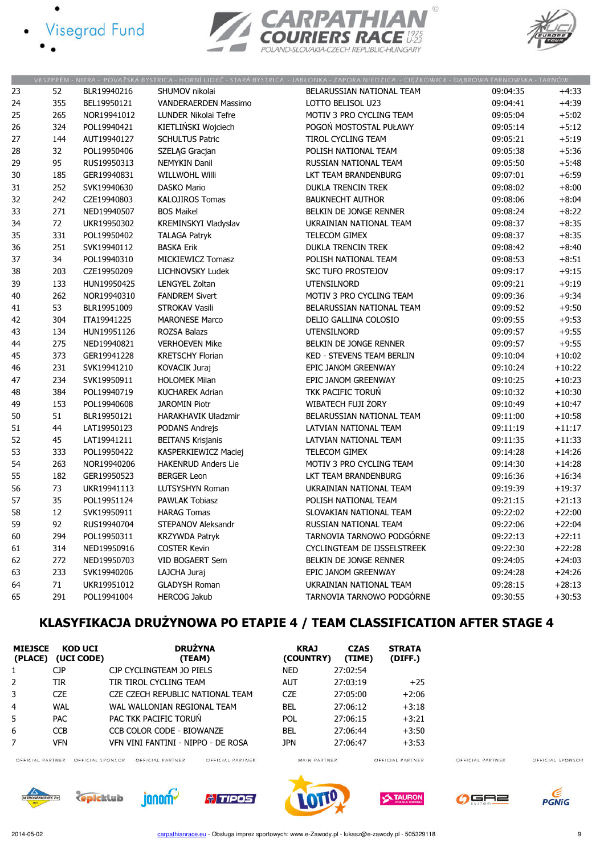- Visegrad Fund
	-





|    |     |             |                             | VESZPRÉM - NITRA - POVAŽSKÁ BYSTRICA - HORNÍ LIDEČ - STARÁ BYSTRICA - JABŁONKA - ZAPORA NIEDZICA - CIĘŻKOWICE - DĄBROWA TARNOWSKA - TARNÓW |          |          |
|----|-----|-------------|-----------------------------|--------------------------------------------------------------------------------------------------------------------------------------------|----------|----------|
| 23 | 52  | BLR19940216 | SHUMOV nikolai              | BELARUSSIAN NATIONAL TEAM                                                                                                                  | 09:04:35 | $+4:33$  |
| 24 | 355 | BEL19950121 | <b>VANDERAERDEN Massimo</b> | LOTTO BELISOL U23                                                                                                                          | 09:04:41 | $+4:39$  |
| 25 | 265 | NOR19941012 | LUNDER Nikolai Tefre        | MOTIV 3 PRO CYCLING TEAM                                                                                                                   | 09:05:04 | $+5:02$  |
| 26 | 324 | POL19940421 | KIETLIŃSKI Wojciech         | POGOŃ MOSTOSTAL PUŁAWY                                                                                                                     | 09:05:14 | $+5:12$  |
| 27 | 144 | AUT19940127 | <b>SCHULTUS Patric</b>      | TIROL CYCLING TEAM                                                                                                                         | 09:05:21 | $+5:19$  |
| 28 | 32  | POL19950406 | SZELĄG Gracjan              | POLISH NATIONAL TEAM                                                                                                                       | 09:05:38 | $+5:36$  |
| 29 | 95  | RUS19950313 | NEMYKIN Danil               | RUSSIAN NATIONAL TEAM                                                                                                                      | 09:05:50 | $+5:48$  |
| 30 | 185 | GER19940831 | <b>WILLWOHL Willi</b>       | LKT TEAM BRANDENBURG                                                                                                                       | 09:07:01 | $+6:59$  |
| 31 | 252 | SVK19940630 | DASKO Mario                 | <b>DUKLA TRENCIN TREK</b>                                                                                                                  | 09:08:02 | $+8:00$  |
| 32 | 242 | CZE19940803 | <b>KALOJIROS Tomas</b>      | <b>BAUKNECHT AUTHOR</b>                                                                                                                    | 09:08:06 | $+8:04$  |
| 33 | 271 | NED19940507 | <b>BOS Maikel</b>           | BELKIN DE JONGE RENNER                                                                                                                     | 09:08:24 | $+8:22$  |
| 34 | 72  | UKR19950302 | KREMINSKYI Vladyslav        | UKRAINIAN NATIONAL TEAM                                                                                                                    | 09:08:37 | $+8:35$  |
| 35 | 331 | POL19950402 | <b>TALAGA Patryk</b>        | TELECOM GIMEX                                                                                                                              | 09:08:37 | $+8:35$  |
| 36 | 251 | SVK19940112 | <b>BASKA Erik</b>           | <b>DUKLA TRENCIN TREK</b>                                                                                                                  | 09:08:42 | $+8:40$  |
| 37 | 34  | POL19940310 | MICKIEWICZ Tomasz           | POLISH NATIONAL TEAM                                                                                                                       | 09:08:53 | $+8:51$  |
| 38 | 203 | CZE19950209 | LICHNOVSKY Ludek            | SKC TUFO PROSTEJOV                                                                                                                         | 09:09:17 | $+9:15$  |
| 39 | 133 | HUN19950425 | <b>LENGYEL Zoltan</b>       | <b>UTENSILNORD</b>                                                                                                                         | 09:09:21 | $+9:19$  |
| 40 | 262 | NOR19940310 | <b>FANDREM Sivert</b>       | MOTIV 3 PRO CYCLING TEAM                                                                                                                   | 09:09:36 | $+9:34$  |
| 41 | 53  | BLR19951009 | <b>STROKAV Vasili</b>       | BELARUSSIAN NATIONAL TEAM                                                                                                                  | 09:09:52 | $+9:50$  |
| 42 | 304 | ITA19941225 | <b>MARONESE Marco</b>       | DELIO GALLINA COLOSIO                                                                                                                      | 09:09:55 | $+9:53$  |
| 43 | 134 | HUN19951126 | ROZSA Balazs                | <b>UTENSILNORD</b>                                                                                                                         | 09:09:57 | $+9:55$  |
| 44 | 275 | NED19940821 | <b>VERHOEVEN Mike</b>       | BELKIN DE JONGE RENNER                                                                                                                     | 09:09:57 | $+9:55$  |
| 45 | 373 | GER19941228 | <b>KRETSCHY Florian</b>     | KED - STEVENS TEAM BERLIN                                                                                                                  | 09:10:04 | $+10:02$ |
| 46 | 231 | SVK19941210 | <b>KOVACIK Juraj</b>        | EPIC JANOM GREENWAY                                                                                                                        | 09:10:24 | $+10:22$ |
| 47 | 234 | SVK19950911 | <b>HOLOMEK Milan</b>        | EPIC JANOM GREENWAY                                                                                                                        | 09:10:25 | $+10:23$ |
| 48 | 384 | POL19940719 | <b>KUCHAREK Adrian</b>      | TKK PACIFIC TORUN                                                                                                                          | 09:10:32 | $+10:30$ |
| 49 | 153 | POL19940608 | <b>JAROMIN Piotr</b>        | WIBATECH FUJI ŻORY                                                                                                                         | 09:10:49 | $+10:47$ |
| 50 | 51  | BLR19950121 | <b>HARAKHAVIK Uladzmir</b>  | BELARUSSIAN NATIONAL TEAM                                                                                                                  | 09:11:00 | $+10:58$ |
| 51 | 44  | LAT19950123 | PODANS Andrejs              | LATVIAN NATIONAL TEAM                                                                                                                      | 09:11:19 | $+11:17$ |
| 52 | 45  | LAT19941211 | <b>BEITANS Krisjanis</b>    | LATVIAN NATIONAL TEAM                                                                                                                      | 09:11:35 | $+11:33$ |
| 53 | 333 | POL19950422 | KASPERKIEWICZ Maciej        | TELECOM GIMEX                                                                                                                              | 09:14:28 | $+14:26$ |
| 54 | 263 | NOR19940206 | <b>HAKENRUD Anders Lie</b>  | MOTIV 3 PRO CYCLING TEAM                                                                                                                   | 09:14:30 | $+14:28$ |
| 55 | 182 | GER19950523 | <b>BERGER Leon</b>          | LKT TEAM BRANDENBURG                                                                                                                       | 09:16:36 | $+16:34$ |
| 56 | 73  | UKR19941113 | LUTSYSHYN Roman             | UKRAINIAN NATIONAL TEAM                                                                                                                    | 09:19:39 | $+19:37$ |
| 57 | 35  | POL19951124 | <b>PAWLAK Tobiasz</b>       | POLISH NATIONAL TEAM                                                                                                                       | 09:21:15 | $+21:13$ |
| 58 | 12  | SVK19950911 | <b>HARAG Tomas</b>          | SLOVAKIAN NATIONAL TEAM                                                                                                                    | 09:22:02 | $+22:00$ |
| 59 | 92  | RUS19940704 | STEPANOV Aleksandr          | RUSSIAN NATIONAL TEAM                                                                                                                      | 09:22:06 | $+22:04$ |
| 60 | 294 | POL19950311 | <b>KRZYWDA Patryk</b>       | TARNOVIA TARNOWO PODGÓRNE                                                                                                                  | 09:22:13 | $+22:11$ |
| 61 | 314 | NED19950916 | <b>COSTER Kevin</b>         | CYCLINGTEAM DE IJSSELSTREEK                                                                                                                | 09:22:30 | $+22:28$ |
| 62 | 272 | NED19950703 | VID BOGAERT Sem             | BELKIN DE JONGE RENNER                                                                                                                     | 09:24:05 | $+24:03$ |
| 63 | 233 | SVK19940206 | LAJCHA Juraj                | EPIC JANOM GREENWAY                                                                                                                        | 09:24:28 | $+24:26$ |
| 64 | 71  | UKR19951012 | <b>GLADYSH Roman</b>        | UKRAINIAN NATIONAL TEAM                                                                                                                    | 09:28:15 | $+28:13$ |
| 65 | 291 | POL19941004 | <b>HERCOG Jakub</b>         | TARNOVIA TARNOWO PODGÓRNE                                                                                                                  | 09:30:55 | $+30:53$ |
|    |     |             |                             |                                                                                                                                            |          |          |

# KLASYFIKACJA DRUŻYNOWA PO ETAPIE 4 / TEAM CLASSIFICATION AFTER STAGE 4

| <b>MIEJSCE</b><br>(PLACE) | KOD UCI<br>(UCI CODE) | <b>DRUŻYNA</b><br>(TEAM)             | <b>KRAJ</b><br>(COUNTRY) | <b>CZAS</b><br>(TIME) | <b>STRATA</b><br>(DIFF.) |                  |                  |
|---------------------------|-----------------------|--------------------------------------|--------------------------|-----------------------|--------------------------|------------------|------------------|
|                           | СJР                   | CJP CYCLINGTEAM JO PIELS             | <b>NED</b>               | 27:02:54              |                          |                  |                  |
| 2                         | TIR                   | TIR TIROL CYCLING TEAM               | AUT                      | 27:03:19              | $+25$                    |                  |                  |
| 3                         | <b>CZE</b>            | CZE CZECH REPUBLIC NATIONAL TEAM     | <b>CZE</b>               | 27:05:00              | $+2:06$                  |                  |                  |
| 4                         | <b>WAL</b>            | WAL WALLONIAN REGIONAL TEAM          | <b>BEL</b>               | 27:06:12              | $+3:18$                  |                  |                  |
| 5                         | <b>PAC</b>            | PAC TKK PACIFIC TORUN                | <b>POL</b>               | 27:06:15              | $+3:21$                  |                  |                  |
| 6                         | <b>CCB</b>            | CCB COLOR CODE - BIOWANZE            | BEL                      | 27:06:44              | $+3:50$                  |                  |                  |
|                           | <b>VFN</b>            | VEN VINI FANTINI - NIPPO - DE ROSA   | <b>JPN</b>               | 27:06:47              | $+3:53$                  |                  |                  |
| OFFICIAL PARTNER          | OFFICIAL SPONSOR      | OFFICIAL PARTNER<br>OFFICIAL PARTNER | MAIN PARTNER             |                       | OFFICIAL PARTNER         | OFFICIAL PARTNER | OFFICIAL SPONSOR |



**Epicklub** janom

 $\mathbf{u}$ 

<u> †/ TIPOS</u>

 $\epsilon$ PGNiG

 $\Omega$ GA2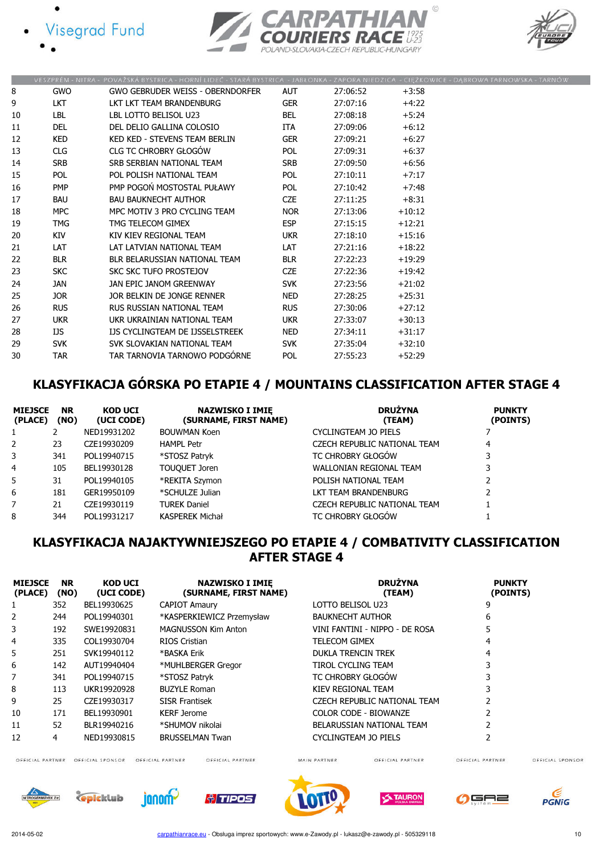





|    |            | VESZPREM - NITRA - POVAZSKA BYSTRICA - HORNI LIDEC - STARA BYSTRICA - JABŁONKA - ZAPORA NIEDZICA - CIĘZKOWICE - DĄBROWA TARNOWSKA - TARNOW |            |          |          |  |
|----|------------|--------------------------------------------------------------------------------------------------------------------------------------------|------------|----------|----------|--|
| 8  | <b>GWO</b> | <b>GWO GEBRUDER WEISS - OBERNDORFER</b>                                                                                                    | <b>AUT</b> | 27:06:52 | $+3:58$  |  |
| 9  | <b>LKT</b> | LKT LKT TEAM BRANDENBURG                                                                                                                   | <b>GER</b> | 27:07:16 | $+4:22$  |  |
| 10 | LBL        | LBL LOTTO BELISOL U23                                                                                                                      | <b>BEL</b> | 27:08:18 | $+5:24$  |  |
| 11 | <b>DEL</b> | DEL DELIO GALLINA COLOSIO                                                                                                                  | <b>ITA</b> | 27:09:06 | $+6:12$  |  |
| 12 | <b>KED</b> | KED KED - STEVENS TEAM BERLIN                                                                                                              | <b>GER</b> | 27:09:21 | $+6:27$  |  |
| 13 | CLG        | <b>CLG TC CHROBRY GŁOGÓW</b>                                                                                                               | <b>POL</b> | 27:09:31 | $+6:37$  |  |
| 14 | <b>SRB</b> | SRB SERBIAN NATIONAL TEAM                                                                                                                  | <b>SRB</b> | 27:09:50 | $+6:56$  |  |
| 15 | <b>POL</b> | POL POLISH NATIONAL TEAM                                                                                                                   | <b>POL</b> | 27:10:11 | $+7:17$  |  |
| 16 | <b>PMP</b> | PMP POGOŃ MOSTOSTAL PUŁAWY                                                                                                                 | <b>POL</b> | 27:10:42 | $+7:48$  |  |
| 17 | BAU        | <b>BAU BAUKNECHT AUTHOR</b>                                                                                                                | <b>CZE</b> | 27:11:25 | $+8:31$  |  |
| 18 | <b>MPC</b> | MPC MOTIV 3 PRO CYCLING TEAM                                                                                                               | <b>NOR</b> | 27:13:06 | $+10:12$ |  |
| 19 | <b>TMG</b> | TMG TELECOM GIMEX                                                                                                                          | <b>ESP</b> | 27:15:15 | $+12:21$ |  |
| 20 | KIV        | KIV KIEV REGIONAL TEAM                                                                                                                     | <b>UKR</b> | 27:18:10 | $+15:16$ |  |
| 21 | <b>LAT</b> | LAT LATVIAN NATIONAL TEAM                                                                                                                  | <b>LAT</b> | 27:21:16 | $+18:22$ |  |
| 22 | <b>BLR</b> | BLR BELARUSSIAN NATIONAL TEAM                                                                                                              | <b>BLR</b> | 27:22:23 | $+19:29$ |  |
| 23 | <b>SKC</b> | SKC SKC TUFO PROSTEJOV                                                                                                                     | <b>CZE</b> | 27:22:36 | $+19:42$ |  |
| 24 | JAN        | JAN EPIC JANOM GREENWAY                                                                                                                    | <b>SVK</b> | 27:23:56 | $+21:02$ |  |
| 25 | JOR.       | JOR BELKIN DE JONGE RENNER                                                                                                                 | <b>NED</b> | 27:28:25 | $+25:31$ |  |
| 26 | <b>RUS</b> | RUS RUSSIAN NATIONAL TEAM                                                                                                                  | <b>RUS</b> | 27:30:06 | $+27:12$ |  |
| 27 | <b>UKR</b> | UKR UKRAINIAN NATIONAL TEAM                                                                                                                | <b>UKR</b> | 27:33:07 | $+30:13$ |  |
| 28 | IJS        | IJS CYCLINGTEAM DE IJSSELSTREEK                                                                                                            | <b>NED</b> | 27:34:11 | $+31:17$ |  |
| 29 | <b>SVK</b> | SVK SLOVAKIAN NATIONAL TEAM                                                                                                                | <b>SVK</b> | 27:35:04 | $+32:10$ |  |
| 30 | <b>TAR</b> | TAR TARNOVIA TARNOWO PODGÓRNE                                                                                                              | <b>POL</b> | 27:55:23 | $+52:29$ |  |
|    |            |                                                                                                                                            |            |          |          |  |

# KLASYFIKACJA GÓRSKA PO ETAPIE 4 / MOUNTAINS CLASSIFICATION AFTER STAGE 4

| <b>MIEJSCE</b><br>(PLACE) | <b>NR</b><br>(NO) | <b>KOD UCI</b><br>(UCI CODE) | <b>NAZWISKO I IMIE</b><br>(SURNAME, FIRST NAME) | <b>DRUŻYNA</b><br>(TEAM)     | <b>PUNKTY</b><br>(POINTS) |
|---------------------------|-------------------|------------------------------|-------------------------------------------------|------------------------------|---------------------------|
| 1                         |                   | NED19931202                  | <b>BOUWMAN Koen</b>                             | CYCLINGTEAM JO PIELS         |                           |
| 2                         | 23                | CZE19930209                  | <b>HAMPL Petr</b>                               | CZECH REPUBLIC NATIONAL TEAM | 4                         |
| 3                         | 341               | POL19940715                  | *STOSZ Patryk                                   | TC CHROBRY GŁOGÓW            |                           |
| 4                         | 105               | BEL19930128                  | TOUQUET Joren                                   | WALLONIAN REGIONAL TEAM      | 3                         |
| 5                         | 31                | POL19940105                  | *REKITA Szymon                                  | POLISH NATIONAL TEAM         |                           |
| 6                         | 181               | GER19950109                  | *SCHULZE Julian                                 | LKT TEAM BRANDENBURG         |                           |
| 7                         | 21                | CZE19930119                  | <b>TUREK Daniel</b>                             | CZECH REPUBLIC NATIONAL TEAM |                           |
| 8                         | 344               | POL19931217                  | <b>KASPEREK Michał</b>                          | TC CHROBRY GŁOGÓW            |                           |

## KLASYFIKACJA NAJAKTYWNIEJSZEGO PO ETAPIE 4 / COMBATIVITY CLASSIFICATION AFTER STAGE 4

| <b>MIEJSCE</b><br>(PLACE) | <b>NR</b><br>(NO) | <b>KOD UCI</b><br>(UCI CODE) | <b>NAZWISKO I IMIE</b><br>(SURNAME, FIRST NAME) | <b>DRUŻYNA</b><br>(TEAM)       | <b>PUNKTY</b><br>(POINTS) |
|---------------------------|-------------------|------------------------------|-------------------------------------------------|--------------------------------|---------------------------|
|                           | 352               | BEL19930625                  | <b>CAPIOT Amaury</b>                            | LOTTO BELISOL U23              | 9                         |
| 2                         | 244               | POL19940301                  | *KASPERKIEWICZ Przemysław                       | <b>BAUKNECHT AUTHOR</b>        | 6                         |
| 3                         | 192               | SWE19920831                  | <b>MAGNUSSON Kim Anton</b>                      | VINI FANTINI - NIPPO - DE ROSA | 5                         |
| 4                         | 335               | COL19930704                  | RIOS Cristian                                   | <b>TELECOM GIMEX</b>           | 4                         |
| 5                         | 251               | SVK19940112                  | *BASKA Erik                                     | <b>DUKLA TRENCIN TREK</b>      | 4                         |
| 6                         | 142               | AUT19940404                  | *MUHLBERGER Gregor                              | TIROL CYCLING TEAM             |                           |
| 7                         | 341               | POL19940715                  | *STOSZ Patryk                                   | TC CHROBRY GŁOGÓW              | 3                         |
| 8                         | 113               | UKR19920928                  | <b>BUZYLE Roman</b>                             | KIEV REGIONAL TEAM             | 3                         |
| 9                         | 25                | CZE19930317                  | <b>SISR Frantisek</b>                           | CZECH REPUBLIC NATIONAL TEAM   |                           |
| 10                        | 171               | BEL19930901                  | <b>KERF Jerome</b>                              | COLOR CODE - BIOWANZE          |                           |
| 11                        | 52                | BLR19940216                  | *SHUMOV nikolai                                 | BELARUSSIAN NATIONAL TEAM      |                           |
| 12                        | 4                 | NED19930815                  | <b>BRUSSELMAN Twan</b>                          | CYCLINGTEAM JO PIELS           |                           |

OFFICIAL PARTNER OFFICIAL SPONSOR OFFICIAL PARTNER

OFFICIAL PARTNER

MAIN PARTNER

OFFICIAL PARTNER

OFFICIAL SPONSOR











OFFICIAL PARTNER



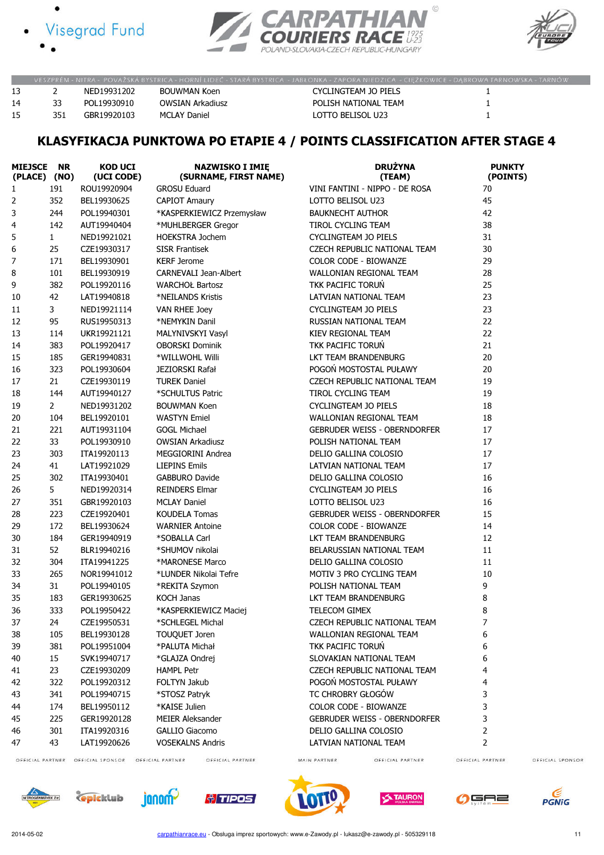







|    |     |             |                     | VESZPRÉM - NITRA - POVAŽSKÁ BYSTRICA - HORNÍ LIDEČ - STARÁ BYSTRICA - JABŁONKA - ZAPORA NIEDZICA - CIEŽKOWICE - DABROWA TARNOWSKA - TARNÓW |  |
|----|-----|-------------|---------------------|--------------------------------------------------------------------------------------------------------------------------------------------|--|
|    |     | NFD19931202 | BOUWMAN Koen        | CYCLINGTEAM JO PIELS                                                                                                                       |  |
| 14 | 33  | POL19930910 | OWSIAN Arkadiusz    | POLISH NATIONAL TEAM                                                                                                                       |  |
| 15 | 351 | GBR19920103 | <b>MCLAY Daniel</b> | LOTTO BELISOL U23                                                                                                                          |  |

# KLASYFIKACJA PUNKTOWA PO ETAPIE 4 / POINTS CLASSIFICATION AFTER STAGE 4

| <b>MIEJSCE</b><br>(PLACE) (NO) | <b>NR</b>      | <b>KOD UCI</b><br>(UCI CODE) | <b>NAZWISKO I IMIĘ</b><br>(SURNAME, FIRST NAME) | <b>DRUŻYNA</b><br>(TEAM)                      | <b>PUNKTY</b><br>(POINTS) |
|--------------------------------|----------------|------------------------------|-------------------------------------------------|-----------------------------------------------|---------------------------|
| $\mathbf{1}$                   | 191            | ROU19920904                  | <b>GROSU Eduard</b>                             | VINI FANTINI - NIPPO - DE ROSA                | 70                        |
| 2                              | 352            | BEL19930625                  | <b>CAPIOT Amaury</b>                            | LOTTO BELISOL U23                             | 45                        |
| 3                              | 244            | POL19940301                  | *KASPERKIEWICZ Przemysław                       | <b>BAUKNECHT AUTHOR</b>                       | 42                        |
| 4                              | 142            | AUT19940404                  | *MUHLBERGER Gregor                              | TIROL CYCLING TEAM                            | 38                        |
| 5                              | $\mathbf{1}$   | NED19921021                  | <b>HOEKSTRA Jochem</b>                          | <b>CYCLINGTEAM JO PIELS</b>                   | 31                        |
| 6                              | 25             | CZE19930317                  | <b>SISR Frantisek</b>                           | CZECH REPUBLIC NATIONAL TEAM                  | 30                        |
| 7                              | 171            | BEL19930901                  | <b>KERF Jerome</b>                              | COLOR CODE - BIOWANZE                         | 29                        |
| 8                              | 101            | BEL19930919                  | <b>CARNEVALI Jean-Albert</b>                    | <b>WALLONIAN REGIONAL TEAM</b>                | 28                        |
| 9                              | 382            | POL19920116                  | <b>WARCHOŁ Bartosz</b>                          | TKK PACIFIC TORUN                             | 25                        |
| 10                             | 42             | LAT19940818                  | *NEILANDS Kristis                               | LATVIAN NATIONAL TEAM                         | 23                        |
| 11                             | 3              | NED19921114                  | <b>VAN RHEE Joey</b>                            | <b>CYCLINGTEAM JO PIELS</b>                   | 23                        |
| 12                             | 95             | RUS19950313                  | *NEMYKIN Danil                                  | RUSSIAN NATIONAL TEAM                         | 22                        |
| 13                             | 114            | UKR19921121                  | MALYNIVSKYI Vasyl                               | KIEV REGIONAL TEAM                            | 22                        |
| 14                             | 383            | POL19920417                  | <b>OBORSKI Dominik</b>                          | TKK PACIFIC TORUŃ                             | 21                        |
| 15                             | 185            | GER19940831                  | *WILLWOHL Willi                                 | LKT TEAM BRANDENBURG                          | 20                        |
| 16                             | 323            | POL19930604                  | JEZIORSKI Rafał                                 | POGOŃ MOSTOSTAL PUŁAWY                        | 20                        |
| 17                             | 21             | CZE19930119                  | <b>TUREK Daniel</b>                             | CZECH REPUBLIC NATIONAL TEAM                  | 19                        |
| 18                             | 144            | AUT19940127                  | *SCHULTUS Patric                                | TIROL CYCLING TEAM                            | 19                        |
|                                | $\overline{2}$ | NED19931202                  | <b>BOUWMAN Koen</b>                             | <b>CYCLINGTEAM JO PIELS</b>                   | 18                        |
| 19<br>20                       | 104            | BEL19920101                  | <b>WASTYN Emiel</b>                             | WALLONIAN REGIONAL TEAM                       | 18                        |
|                                | 221            | AUT19931104                  | <b>GOGL Michael</b>                             | <b>GEBRUDER WEISS - OBERNDORFER</b>           | 17                        |
| 21                             |                | POL19930910                  |                                                 |                                               | 17                        |
| 22<br>23                       | 33<br>303      |                              | <b>OWSIAN Arkadiusz</b><br>MEGGIORINI Andrea    | POLISH NATIONAL TEAM<br>DELIO GALLINA COLOSIO | 17                        |
|                                |                | ITA19920113                  |                                                 |                                               | 17                        |
| 24                             | 41             | LAT19921029                  | <b>LIEPINS Emils</b>                            | LATVIAN NATIONAL TEAM                         |                           |
| 25                             | 302            | ITA19930401                  | <b>GABBURO Davide</b>                           | DELIO GALLINA COLOSIO                         | 16                        |
| 26                             | 5              | NED19920314                  | <b>REINDERS Elmar</b>                           | CYCLINGTEAM JO PIELS                          | 16                        |
| 27                             | 351            | GBR19920103                  | <b>MCLAY Daniel</b>                             | LOTTO BELISOL U23                             | 16                        |
| 28                             | 223            | CZE19920401                  | <b>KOUDELA Tomas</b>                            | <b>GEBRUDER WEISS - OBERNDORFER</b>           | 15                        |
| 29                             | 172            | BEL19930624                  | <b>WARNIER Antoine</b>                          | COLOR CODE - BIOWANZE                         | 14                        |
| 30                             | 184            | GER19940919                  | *SOBALLA Carl                                   | LKT TEAM BRANDENBURG                          | 12                        |
| 31                             | 52             | BLR19940216                  | *SHUMOV nikolai                                 | BELARUSSIAN NATIONAL TEAM                     | 11                        |
| 32                             | 304            | ITA19941225                  | *MARONESE Marco                                 | DELIO GALLINA COLOSIO                         | 11                        |
| 33                             | 265            | NOR19941012                  | *LUNDER Nikolai Tefre                           | MOTIV 3 PRO CYCLING TEAM                      | 10                        |
| 34                             | 31             | POL19940105                  | *REKITA Szymon                                  | POLISH NATIONAL TEAM                          | 9                         |
| 35                             | 183            | GER19930625                  | <b>KOCH Janas</b>                               | <b>LKT TEAM BRANDENBURG</b>                   | 8                         |
| 36                             | 333            | POL19950422                  | *KASPERKIEWICZ Maciej                           | TELECOM GIMEX                                 | 8                         |
| 37                             | 24             | CZE19950531                  | *SCHLEGEL Michal                                | CZECH REPUBLIC NATIONAL TEAM                  | 7                         |
| 38                             | 105            | BEL19930128                  | TOUQUET Joren                                   | WALLONIAN REGIONAL TEAM                       | 6                         |
| 39                             | 381            | POL19951004                  | *PALUTA Michał                                  | TKK PACIFIC TORUN                             | 6                         |
| 40                             | 15             | SVK19940717                  | *GLAJZA Ondrej                                  | SLOVAKIAN NATIONAL TEAM                       | 6                         |
| 41                             | 23             | CZE19930209                  | <b>HAMPL Petr</b>                               | CZECH REPUBLIC NATIONAL TEAM                  | 4                         |
| 42                             | 322            | POL19920312                  | FOLTYN Jakub                                    | POGOŃ MOSTOSTAL PUŁAWY                        | 4                         |
| 43                             | 341            | POL19940715                  | *STOSZ Patryk                                   | TC CHROBRY GŁOGÓW                             | 3                         |
| 44                             | 174            | BEL19950112                  | *KAISE Julien                                   | COLOR CODE - BIOWANZE                         | 3                         |
| 45                             | 225            | GER19920128                  | <b>MEIER Aleksander</b>                         | <b>GEBRUDER WEISS - OBERNDORFER</b>           | 3                         |
| 46                             | 301            | ITA19920316                  | <b>GALLIO Giacomo</b>                           | DELIO GALLINA COLOSIO                         | 2                         |
| 47                             | 43             | LAT19920626                  | <b>VOSEKALNS Andris</b>                         | LATVIAN NATIONAL TEAM                         | 2                         |

OFFICIAL PARTNER OFFICIAL SPONSOR OFFICIAL PARTNER

OFFICIAL PARTNER

MAIN PARTNER

OFFICIAL PARTNER

OFFICIAL PARTNER













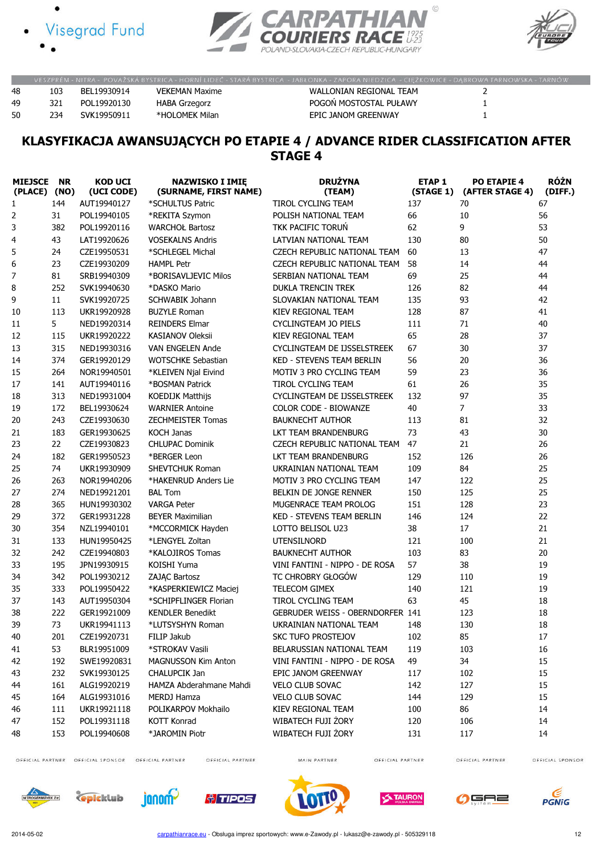



POLAND-SLOVAKIA-CZECH REPUBLIC-HUNGARY



 $\circledcirc$ 

|    |     |              |                      | VESZPRÉM - NITRA - POVAŽSKÁ BYSTRICA - HORNÍ LIDEČ - STARÁ BYSTRICA - JABŁONKA - ZAPORA NIEDZICA - CIEZKOWICE - DABROWA TARNOWSKA - TARNÓW |  |
|----|-----|--------------|----------------------|--------------------------------------------------------------------------------------------------------------------------------------------|--|
| 48 | 103 | BFI 19930914 | VEKEMAN Maxime       | WALLONIAN REGIONAL TEAM                                                                                                                    |  |
| 49 | 321 | POL19920130  | <b>HABA Grzegorz</b> | POGOŃ MOSTOSTAL PUŁAWY                                                                                                                     |  |
| 50 | 234 | SVK19950911  | *HOLOMEK Milan       | EPIC JANOM GREENWAY                                                                                                                        |  |

### KLASYFIKACJA AWANSUJĄCYCH PO ETAPIE 4 / ADVANCE RIDER CLASSIFICATION AFTER STAGE 4

| <b>MIEJSCE</b><br>(PLACE) (NO) | <b>NR</b> | <b>KOD UCI</b><br>(UCI CODE) | <b>NAZWISKO I IMIĘ</b><br>(SURNAME, FIRST NAME) | <b>DRUŻYNA</b><br>(TEAM)                | <b>ETAP1</b><br>(STAGE 1) | <b>PO ETAPIE 4</b><br>(AFTER STAGE 4) | <b>RÓŻN</b><br>(DIFF.) |
|--------------------------------|-----------|------------------------------|-------------------------------------------------|-----------------------------------------|---------------------------|---------------------------------------|------------------------|
| $\mathbf{1}$                   | 144       | AUT19940127                  | *SCHULTUS Patric                                | TIROL CYCLING TEAM                      | 137                       | 70                                    | 67                     |
| 2                              | 31        | POL19940105                  | *REKITA Szymon                                  | POLISH NATIONAL TEAM                    | 66                        | 10                                    | 56                     |
| 3                              | 382       | POL19920116                  | <b>WARCHOŁ Bartosz</b>                          | TKK PACIFIC TORUŃ                       | 62                        | 9                                     | 53                     |
| 4                              | 43        | LAT19920626                  | <b>VOSEKALNS Andris</b>                         | LATVIAN NATIONAL TEAM                   | 130                       | 80                                    | 50                     |
| 5                              | 24        | CZE19950531                  | *SCHLEGEL Michal                                | CZECH REPUBLIC NATIONAL TEAM            | 60                        | 13                                    | 47                     |
| 6                              | 23        | CZE19930209                  | <b>HAMPL Petr</b>                               | CZECH REPUBLIC NATIONAL TEAM            | 58                        | 14                                    | 44                     |
| 7                              | 81        | SRB19940309                  | *BORISAVLJEVIC Milos                            | SERBIAN NATIONAL TEAM                   | 69                        | 25                                    | 44                     |
| 8                              | 252       | SVK19940630                  | *DASKO Mario                                    | <b>DUKLA TRENCIN TREK</b>               | 126                       | 82                                    | 44                     |
| 9                              | 11        | SVK19920725                  | <b>SCHWABIK Johann</b>                          | SLOVAKIAN NATIONAL TEAM                 | 135                       | 93                                    | 42                     |
| 10                             | 113       | UKR19920928                  | <b>BUZYLE Roman</b>                             | KIEV REGIONAL TEAM                      | 128                       | 87                                    | 41                     |
| 11                             | 5         | NED19920314                  | <b>REINDERS Elmar</b>                           | <b>CYCLINGTEAM JO PIELS</b>             | 111                       | 71                                    | 40                     |
| 12                             | 115       | UKR19920222                  | <b>KASIANOV Oleksii</b>                         | KIEV REGIONAL TEAM                      | 65                        | 28                                    | 37                     |
| 13                             | 315       | NED19930316                  | VAN ENGELEN Ande                                | CYCLINGTEAM DE IJSSELSTREEK             | 67                        | 30                                    | 37                     |
| 14                             | 374       | GER19920129                  | <b>WOTSCHKE Sebastian</b>                       | KED - STEVENS TEAM BERLIN               | 56                        | 20                                    | 36                     |
| 15                             | 264       | NOR19940501                  | *KLEIVEN Njal Eivind                            | MOTIV 3 PRO CYCLING TEAM                | 59                        | 23                                    | 36                     |
| 17                             | 141       | AUT19940116                  | *BOSMAN Patrick                                 | TIROL CYCLING TEAM                      | 61                        | 26                                    | 35                     |
| 18                             | 313       | NED19931004                  | <b>KOEDIJK Matthijs</b>                         | <b>CYCLINGTEAM DE IJSSELSTREEK</b>      | 132                       | 97                                    | 35                     |
| 19                             | 172       | BEL19930624                  | <b>WARNIER Antoine</b>                          | <b>COLOR CODE - BIOWANZE</b>            | 40                        | 7                                     | 33                     |
| 20                             | 243       | CZE19930630                  | <b>ZECHMEISTER Tomas</b>                        | <b>BAUKNECHT AUTHOR</b>                 | 113                       | 81                                    | 32                     |
| 21                             | 183       | GER19930625                  | <b>KOCH Janas</b>                               | LKT TEAM BRANDENBURG                    | 73                        | 43                                    | 30                     |
| 23                             | 22        | CZE19930823                  | <b>CHLUPAC Dominik</b>                          | CZECH REPUBLIC NATIONAL TEAM            | 47                        | 21                                    | 26                     |
| 24                             | 182       | GER19950523                  | *BERGER Leon                                    | LKT TEAM BRANDENBURG                    | 152                       | 126                                   | 26                     |
| 25                             | 74        | UKR19930909                  | SHEVTCHUK Roman                                 | UKRAINIAN NATIONAL TEAM                 | 109                       | 84                                    | 25                     |
| 26                             | 263       | NOR19940206                  | *HAKENRUD Anders Lie                            | MOTIV 3 PRO CYCLING TEAM                | 147                       | 122                                   | 25                     |
| 27                             | 274       | NED19921201                  | <b>BAL Tom</b>                                  | BELKIN DE JONGE RENNER                  | 150                       | 125                                   | 25                     |
| 28                             | 365       | HUN19930302                  | <b>VARGA Peter</b>                              | MUGENRACE TEAM PROLOG                   | 151                       | 128                                   | 23                     |
| 29                             | 372       | GER19931228                  | <b>BEYER Maximilian</b>                         | <b>KED - STEVENS TEAM BERLIN</b>        | 146                       | 124                                   | 22                     |
| 30                             | 354       | NZL19940101                  | *MCCORMICK Hayden                               | LOTTO BELISOL U23                       | 38                        | 17                                    | 21                     |
| 31                             | 133       | HUN19950425                  | *LENGYEL Zoltan                                 | <b>UTENSILNORD</b>                      | 121                       | 100                                   | 21                     |
| 32                             | 242       | CZE19940803                  | *KALOJIROS Tomas                                | <b>BAUKNECHT AUTHOR</b>                 | 103                       | 83                                    | 20                     |
| 33                             | 195       | JPN19930915                  | KOISHI Yuma                                     | VINI FANTINI - NIPPO - DE ROSA          | 57                        | 38                                    | 19                     |
| 34                             | 342       | POL19930212                  | <b>ZAJAC Bartosz</b>                            | TC CHROBRY GŁOGÓW                       | 129                       | 110                                   | 19                     |
| 35                             | 333       | POL19950422                  | *KASPERKIEWICZ Maciej                           | TELECOM GIMEX                           | 140                       | 121                                   | 19                     |
| 37                             | 143       | AUT19950304                  | *SCHIPFLINGER Florian                           | TIROL CYCLING TEAM                      | 63                        | 45                                    | 18                     |
| 38                             | 222       | GER19921009                  | <b>KENDLER Benedikt</b>                         | <b>GEBRUDER WEISS - OBERNDORFER 141</b> |                           | 123                                   | 18                     |
| 39                             | 73        | UKR19941113                  | *LUTSYSHYN Roman                                | UKRAINIAN NATIONAL TEAM                 | 148                       | 130                                   | 18                     |
| 40                             | 201       | CZE19920731                  | FILIP Jakub                                     | <b>SKC TUFO PROSTEJOV</b>               | 102                       | 85                                    | 17                     |
| 41                             | 53        | BLR19951009                  | *STROKAV Vasili                                 | BELARUSSIAN NATIONAL TEAM               | 119                       | 103                                   | 16                     |
| 42                             | 192       | SWE19920831                  | <b>MAGNUSSON Kim Anton</b>                      | VINI FANTINI - NIPPO - DE ROSA          | 49                        | 34                                    | 15                     |
| 43                             | 232       | SVK19930125                  | CHALUPCIK Jan                                   | EPIC JANOM GREENWAY                     | 117                       | 102                                   | 15                     |
| 44                             | 161       | ALG19920219                  | HAMZA Abderahmane Mahdi                         | VELO CLUB SOVAC                         | 142                       | 127                                   | 15                     |
| 45                             | 164       | ALG19931016                  | <b>MERDJ Hamza</b>                              | VELO CLUB SOVAC                         | 144                       | 129                                   | 15                     |
| 46                             | 111       | UKR19921118                  | POLIKARPOV Mokhailo                             | KIEV REGIONAL TEAM                      | 100                       | 86                                    | 14                     |
| 47                             | 152       | POL19931118                  | <b>KOTT Konrad</b>                              | WIBATECH FUJI ŻORY                      | 120                       | 106                                   | 14                     |
| 48                             | 153       | POL19940608                  | *JAROMIN Piotr                                  | WIBATECH FUJI ŻORY                      | 131                       | 117                                   | 14                     |

OFFICIAL PARTNER OFFICIAL SPONSOR OFFICIAL PARTNER

OFFICIAL PARTNER

**A**TIPOS

MAIN PARTNER

OFFICIAL PARTNER

OFFICIAL PARTNER











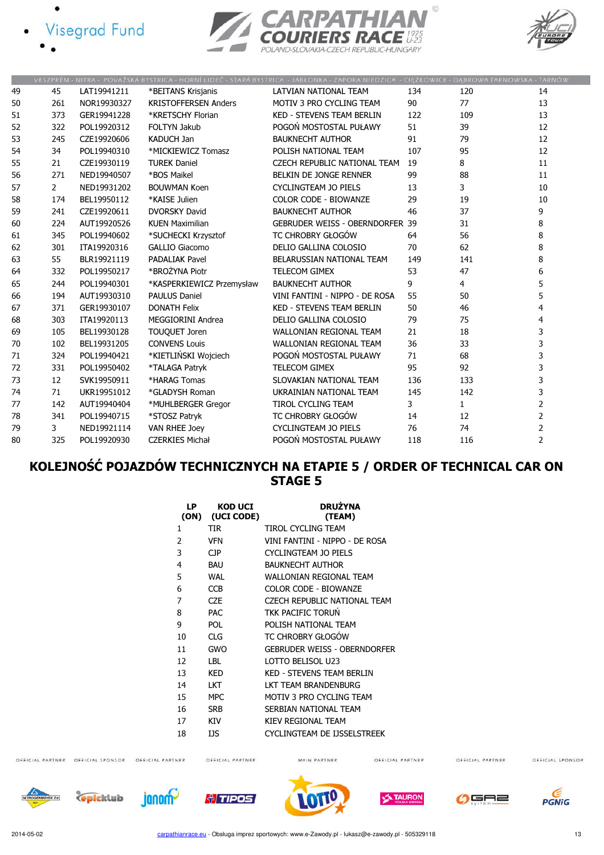





| 45             | LAT19941211 | *BEITANS Krisjanis          | LATVIAN NATIONAL TEAM            | 134 | 120                                    | 14                                                                                                                                         |
|----------------|-------------|-----------------------------|----------------------------------|-----|----------------------------------------|--------------------------------------------------------------------------------------------------------------------------------------------|
| 261            | NOR19930327 | <b>KRISTOFFERSEN Anders</b> | MOTIV 3 PRO CYCLING TEAM         | 90  | 77                                     | 13                                                                                                                                         |
| 373            | GER19941228 | *KRETSCHY Florian           | <b>KED - STEVENS TEAM BERLIN</b> | 122 | 109                                    | 13                                                                                                                                         |
| 322            | POL19920312 | <b>FOLTYN Jakub</b>         | POGOŃ MOSTOSTAL PUŁAWY           | 51  | 39                                     | 12                                                                                                                                         |
| 245            | CZE19920606 | <b>KADUCH Jan</b>           | <b>BAUKNECHT AUTHOR</b>          | 91  | 79                                     | 12                                                                                                                                         |
| 34             | POL19940310 | *MICKIEWICZ Tomasz          | POLISH NATIONAL TEAM             | 107 | 95                                     | 12                                                                                                                                         |
| 21             | CZE19930119 | <b>TUREK Daniel</b>         | CZECH REPUBLIC NATIONAL TEAM     | 19  | 8                                      | 11                                                                                                                                         |
| 271            | NED19940507 | *BOS Maikel                 | BELKIN DE JONGE RENNER           | 99  | 88                                     | 11                                                                                                                                         |
| $\overline{2}$ | NED19931202 | <b>BOUWMAN Koen</b>         | <b>CYCLINGTEAM JO PIELS</b>      | 13  | 3                                      | 10                                                                                                                                         |
| 174            | BEL19950112 | *KAISE Julien               | <b>COLOR CODE - BIOWANZE</b>     | 29  | 19                                     | 10                                                                                                                                         |
| 241            | CZE19920611 | <b>DVORSKY David</b>        | <b>BAUKNECHT AUTHOR</b>          | 46  | 37                                     | 9                                                                                                                                          |
| 224            | AUT19920526 | <b>KUEN Maximilian</b>      |                                  |     | 31                                     | 8                                                                                                                                          |
| 345            | POL19940602 | *SUCHECKI Krzysztof         | TC CHROBRY GŁOGÓW                | 64  | 56                                     | 8                                                                                                                                          |
| 301            | ITA19920316 | <b>GALLIO Giacomo</b>       | DELIO GALLINA COLOSIO            | 70  | 62                                     | 8                                                                                                                                          |
| 55             | BLR19921119 | <b>PADALIAK Pavel</b>       | BELARUSSIAN NATIONAL TEAM        | 149 | 141                                    | 8                                                                                                                                          |
| 332            | POL19950217 | *BROŻYNA Piotr              | <b>TELECOM GIMEX</b>             | 53  | 47                                     | 6                                                                                                                                          |
| 244            | POL19940301 | *KASPERKIEWICZ Przemysław   | <b>BAUKNECHT AUTHOR</b>          | 9   | 4                                      | 5                                                                                                                                          |
| 194            | AUT19930310 | <b>PAULUS Daniel</b>        | VINI FANTINI - NIPPO - DE ROSA   | 55  | 50                                     | 5                                                                                                                                          |
| 371            | GER19930107 | <b>DONATH Felix</b>         | <b>KED - STEVENS TEAM BERLIN</b> | 50  | 46                                     | 4                                                                                                                                          |
| 303            | ITA19920113 | <b>MEGGIORINI Andrea</b>    | DELIO GALLINA COLOSIO            | 79  | 75                                     | 4                                                                                                                                          |
| 105            | BEL19930128 | TOUQUET Joren               | <b>WALLONIAN REGIONAL TEAM</b>   | 21  | 18                                     | 3                                                                                                                                          |
| 102            | BEL19931205 | <b>CONVENS Louis</b>        | <b>WALLONIAN REGIONAL TEAM</b>   | 36  | 33                                     | 3                                                                                                                                          |
| 324            | POL19940421 | *KIETLIŃSKI Wojciech        | POGOŃ MOSTOSTAL PUŁAWY           | 71  | 68                                     | 3                                                                                                                                          |
| 331            | POL19950402 | *TALAGA Patryk              | <b>TELECOM GIMEX</b>             | 95  | 92                                     | 3                                                                                                                                          |
| 12             | SVK19950911 | *HARAG Tomas                | SLOVAKIAN NATIONAL TEAM          | 136 | 133                                    | 3                                                                                                                                          |
| 71             | UKR19951012 | *GLADYSH Roman              | UKRAINIAN NATIONAL TEAM          | 145 | 142                                    | 3                                                                                                                                          |
| 142            | AUT19940404 | *MUHLBERGER Gregor          | <b>TIROL CYCLING TEAM</b>        | 3   | $\mathbf{1}$                           | $\overline{2}$                                                                                                                             |
| 341            | POL19940715 | *STOSZ Patryk               | TC CHROBRY GŁOGÓW                | 14  | 12                                     | $\overline{2}$                                                                                                                             |
| 3              | NED19921114 | <b>VAN RHEE Joey</b>        | <b>CYCLINGTEAM JO PIELS</b>      | 76  | 74                                     | $\overline{2}$                                                                                                                             |
| 325            | POL19920930 | <b>CZERKIES Michał</b>      | POGOŃ MOSTOSTAL PUŁAWY           | 118 | 116                                    | $\overline{2}$                                                                                                                             |
|                |             |                             |                                  |     | <b>GEBRUDER WEISS - OBERNDORFER 39</b> | VESZPREM - NITRA - POVAZSKA BISTRICA - HORNI LIDEC - STARA BISTRICA - JABEONKA - ZAPORA NIEDZICA - CIĘZKOWICE - DĄBROWA TARNOWSKA - TARNOW |

# KOLEJNOŚĆ POJAZDÓW TECHNICZNYCH NA ETAPIE 5 / ORDER OF TECHNICAL CAR ON STAGE 5

| LP<br>(ON) | <b>KOD UCI</b><br>(UCI CODE) | <b>DRUŽYNA</b><br>(TEAM)            |
|------------|------------------------------|-------------------------------------|
| 1          | <b>TIR</b>                   | TIROL CYCLING TEAM                  |
| 2          | <b>VFN</b>                   | VINI FANTINI - NIPPO - DE ROSA      |
| 3          | CJP.                         | CYCLINGTEAM JO PIELS                |
| 4          | <b>BAU</b>                   | <b>BAUKNECHT AUTHOR</b>             |
| 5          | WAL                          | WALLONIAN REGIONAL TEAM             |
| 6          | <b>CCB</b>                   | COLOR CODE - BIOWANZE               |
| 7          | <b>CZE</b>                   | CZECH REPUBLIC NATIONAL TEAM        |
| 8          | <b>PAC</b>                   | TKK PACIFIC TORUN                   |
| 9          | <b>POL</b>                   | POLISH NATIONAL TEAM                |
| 10         | <b>CLG</b>                   | TC CHROBRY GŁOGÓW                   |
| 11         | GWO                          | <b>GEBRUDER WEISS - OBERNDORFER</b> |
| 12         | LBL.                         | LOTTO BELISOL U23                   |
| 13         | KED                          | <b>KED - STEVENS TEAM BERLIN</b>    |
| 14         | LKT                          | LKT TEAM BRANDENBURG                |
| 15         | <b>MPC</b>                   | MOTIV 3 PRO CYCLING TEAM            |
| 16         | <b>SRB</b>                   | SERBIAN NATIONAL TEAM               |
| 17         | KIV                          | KIEV REGIONAL TEAM                  |
| 18         | IJS                          | CYCLINGTEAM DE IJSSELSTREEK         |

OFFICIAL PARTNER OFFICIAL SPONSOR OFFICIAL PARTNER

OFFICIAL PARTNER

MAIN PARTNER

OFFICIAL PARTNER

OFFICIAL PARTNER

OFFICIAL SPONSOR







*<u>ti TIPOS</u>* 







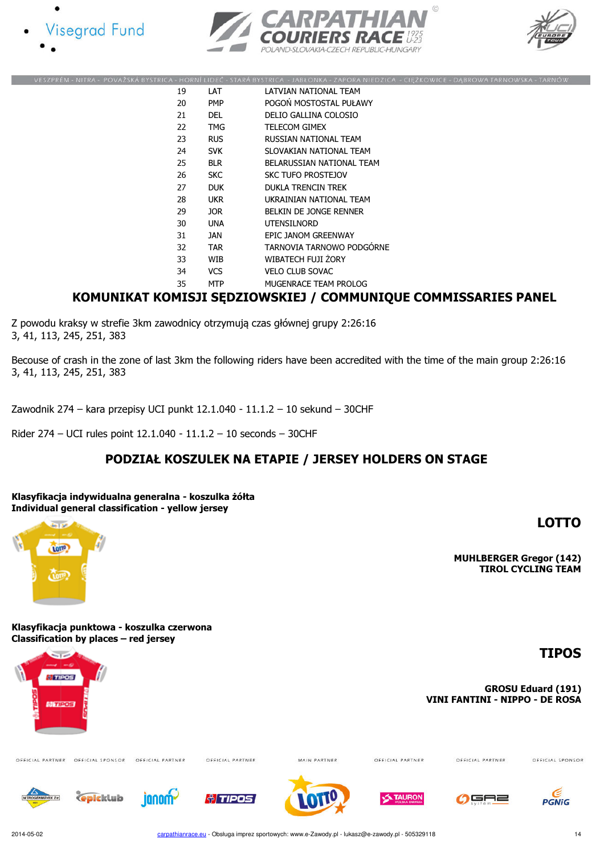







|    |            | VESZPRÉM - NITRA - POVAŽSKÁ BYSTRICA - HORNÍ LIDEČ - STARÁ BYSTRICA - JABŁONKA - ZAPORA NIEDZICA - CIEŽKOWICE - DABROWA TARNOWSKA - TARNÓW |
|----|------------|--------------------------------------------------------------------------------------------------------------------------------------------|
| 19 | LAT        | LATVIAN NATIONAL TEAM                                                                                                                      |
| 20 | <b>PMP</b> | POGOŃ MOSTOSTAL PUŁAWY                                                                                                                     |
| 21 | <b>DEL</b> | DELIO GALLINA COLOSIO                                                                                                                      |
| 22 | TMG        | <b>TELECOM GIMEX</b>                                                                                                                       |
| 23 | <b>RUS</b> | RUSSIAN NATIONAL TEAM                                                                                                                      |
| 24 | <b>SVK</b> | SLOVAKIAN NATIONAL TEAM                                                                                                                    |
| 25 | <b>BLR</b> | BELARUSSIAN NATIONAL TEAM                                                                                                                  |
| 26 | <b>SKC</b> | SKC TUFO PROSTEJOV                                                                                                                         |
| 27 | <b>DUK</b> | <b>DUKLA TRENCIN TREK</b>                                                                                                                  |
| 28 | <b>UKR</b> | UKRAINIAN NATIONAL TEAM                                                                                                                    |
| 29 | JOR.       | BELKIN DE JONGE RENNER                                                                                                                     |
| 30 | <b>UNA</b> | <b>UTENSILNORD</b>                                                                                                                         |
| 31 | JAN        | EPIC JANOM GREENWAY                                                                                                                        |
| 32 | <b>TAR</b> | TARNOVIA TARNOWO PODGÓRNE                                                                                                                  |
| 33 | WIB        | WIBATECH FUJI ZORY                                                                                                                         |
| 34 | <b>VCS</b> | <b>VELO CLUB SOVAC</b>                                                                                                                     |
| 35 | <b>MTP</b> | MUGENRACE TEAM PROLOG                                                                                                                      |
|    |            |                                                                                                                                            |

#### KOMUNIKAT KOMISJI SĘDZIOWSKIEJ / COMMUNIQUE COMMISSARIES PANEL

Z powodu kraksy w strefie 3km zawodnicy otrzymują czas głównej grupy 2:26:16 3, 41, 113, 245, 251, 383

Becouse of crash in the zone of last 3km the following riders have been accredited with the time of the main group 2:26:16 3, 41, 113, 245, 251, 383

Zawodnik 274 – kara przepisy UCI punkt 12.1.040 - 11.1.2 – 10 sekund – 30CHF

Rider 274 – UCI rules point 12.1.040 - 11.1.2 – 10 seconds – 30CHF

## PODZIAŁ KOSZULEK NA ETAPIE / JERSEY HOLDERS ON STAGE



LOTTO

Klasyfikacja punktowa - koszulka czerwona Classification by places – red jersey

فواسط

**Tort** 

MUHLBERGER Gregor (142) TIROL CYCLING TEAM

## TIPOS